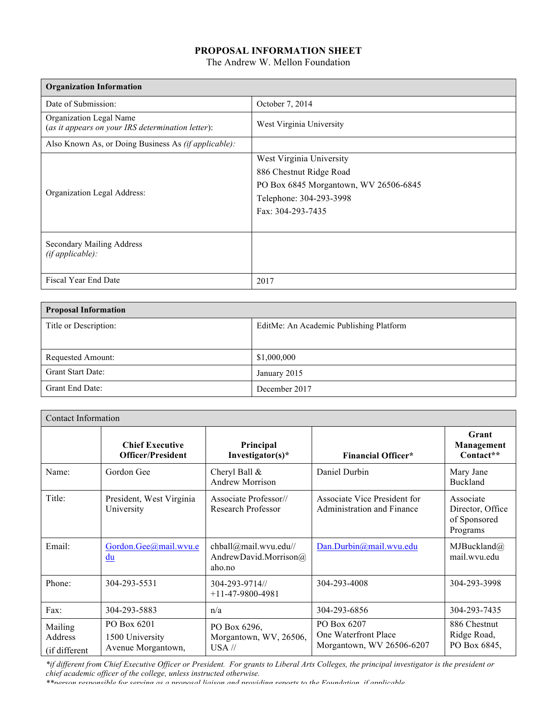## **PROPOSAL INFORMATION SHEET**

The Andrew W. Mellon Foundation

| <b>Organization Information</b>                                              |                                       |
|------------------------------------------------------------------------------|---------------------------------------|
| Date of Submission:                                                          | October 7, 2014                       |
| Organization Legal Name<br>(as it appears on your IRS determination letter): | West Virginia University              |
| Also Known As, or Doing Business As <i>(if applicable)</i> :                 |                                       |
|                                                                              | West Virginia University              |
| Organization Legal Address:                                                  | 886 Chestnut Ridge Road               |
|                                                                              | PO Box 6845 Morgantown, WV 26506-6845 |
|                                                                              | Telephone: 304-293-3998               |
|                                                                              | Fax: 304-293-7435                     |
|                                                                              |                                       |
| <b>Secondary Mailing Address</b><br>(ifappliedble):                          |                                       |
| Fiscal Year End Date                                                         | 2017                                  |

| <b>Proposal Information</b> |                                         |
|-----------------------------|-----------------------------------------|
| Title or Description:       | EditMe: An Academic Publishing Platform |
|                             |                                         |
| Requested Amount:           | \$1,000,000                             |
| Grant Start Date:           | January 2015                            |
| Grant End Date:             | December 2017                           |

| <b>Contact Information</b>          |                                                      |                                                          |                                                                  |                                                           |
|-------------------------------------|------------------------------------------------------|----------------------------------------------------------|------------------------------------------------------------------|-----------------------------------------------------------|
|                                     | <b>Chief Executive</b><br><b>Officer/President</b>   | Principal<br>Investigator(s)*                            | <b>Financial Officer*</b>                                        | Grant<br>Management<br>Contact**                          |
| Name:                               | Gordon Gee                                           | Cheryl Ball &<br>Andrew Morrison                         | Daniel Durbin                                                    | Mary Jane<br>Buckland                                     |
| Title:                              | President, West Virginia<br>University               | Associate Professor//<br>Research Professor              | Associate Vice President for<br>Administration and Finance       | Associate<br>Director, Office<br>of Sponsored<br>Programs |
| Email:                              | Gordon.Gee@mail.wvu.e<br>du                          | chball@mail.wvu.edu//<br>AndrewDavid.Morrison@<br>aho.no | Dan.Durbin@mail.wvu.edu                                          | MJBuckland(a)<br>mail.wvu.edu                             |
| Phone:                              | 304-293-5531                                         | 304-293-9714//<br>$+11-47-9800-4981$                     | 304-293-4008                                                     | 304-293-3998                                              |
| Fax:                                | 304-293-5883                                         | n/a                                                      | 304-293-6856                                                     | 304-293-7435                                              |
| Mailing<br>Address<br>(if different | PO Box 6201<br>1500 University<br>Avenue Morgantown, | PO Box 6296,<br>Morgantown, WV, 26506,<br>$USA$ //       | PO Box 6207<br>One Waterfront Place<br>Morgantown, WV 26506-6207 | 886 Chestnut<br>Ridge Road,<br>PO Box 6845,               |

*\*if different from Chief Executive Officer or President. For grants to Liberal Arts Colleges, the principal investigator is the president or chief academic officer of the college, unless instructed otherwise.* 

*\*\*person responsible for serving as a proposal liaison and providing reports to the Foundation, if applicable.*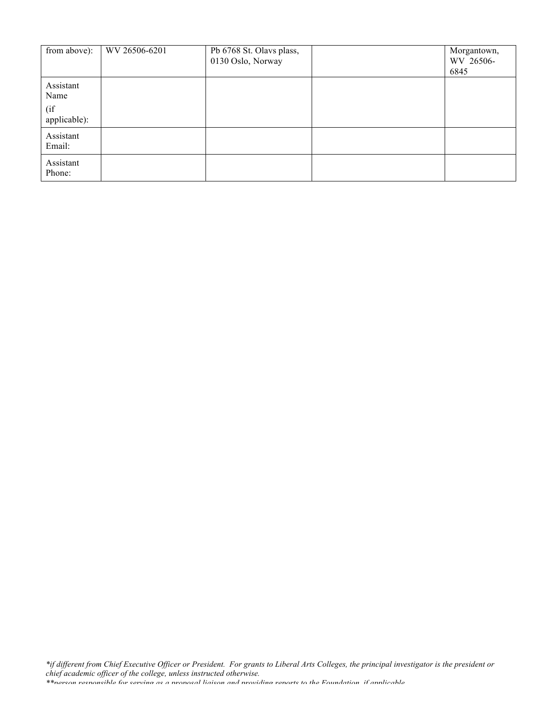| from above):                             | WV 26506-6201 | Pb 6768 St. Olavs plass,<br>0130 Oslo, Norway | Morgantown,<br>WV 26506-<br>6845 |
|------------------------------------------|---------------|-----------------------------------------------|----------------------------------|
| Assistant<br>Name<br>(if<br>applicable): |               |                                               |                                  |
| Assistant<br>Email:                      |               |                                               |                                  |
| Assistant<br>Phone:                      |               |                                               |                                  |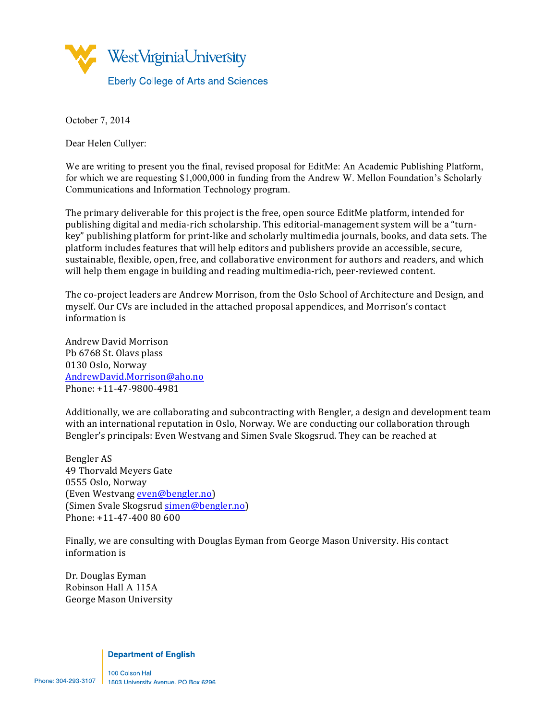

October 7, 2014

Dear Helen Cullyer:

We are writing to present you the final, revised proposal for EditMe: An Academic Publishing Platform, for which we are requesting \$1,000,000 in funding from the Andrew W. Mellon Foundation's Scholarly Communications and Information Technology program.

The primary deliverable for this project is the free, open source EditMe platform, intended for publishing digital and media-rich scholarship. This editorial-management system will be a "turnkey" publishing platform for print-like and scholarly multimedia journals, books, and data sets. The platform includes features that will help editors and publishers provide an accessible, secure, sustainable, flexible, open, free, and collaborative environment for authors and readers, and which will help them engage in building and reading multimedia-rich, peer-reviewed content.

The co-project leaders are Andrew Morrison, from the Oslo School of Architecture and Design, and myself. Our CVs are included in the attached proposal appendices, and Morrison's contact information is 

Andrew David Morrison Pb 6768 St. Olavs plass 0130 Oslo, Norway AndrewDavid.Morrison@aho.no Phone: +11-47-9800-4981

Additionally, we are collaborating and subcontracting with Bengler, a design and development team with an international reputation in Oslo, Norway. We are conducting our collaboration through Bengler's principals: Even Westvang and Simen Svale Skogsrud. They can be reached at

Bengler AS 49 Thorvald Meyers Gate 0555 Oslo, Norway (Even Westvang even@bengler.no) (Simen Svale Skogsrud simen@bengler.no) Phone:  $+11-47-40080600$ 

Finally, we are consulting with Douglas Eyman from George Mason University. His contact information is

Dr. Douglas Eyman Robinson Hall A 115A George Mason University

#### **Department of English**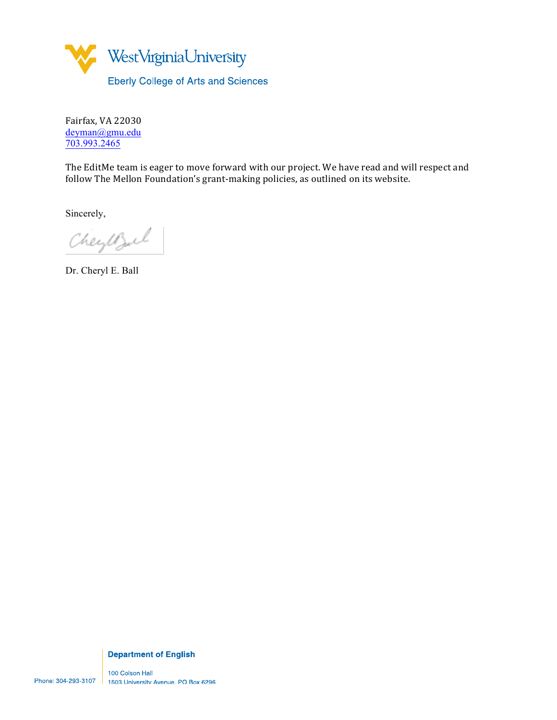

Fairfax, VA 22030 deyman@gmu.edu 703.993.2465

The EditMe team is eager to move forward with our project. We have read and will respect and follow The Mellon Foundation's grant-making policies, as outlined on its website.

Sincerely,

Cheyesul

Dr. Cheryl E. Ball

**Department of English**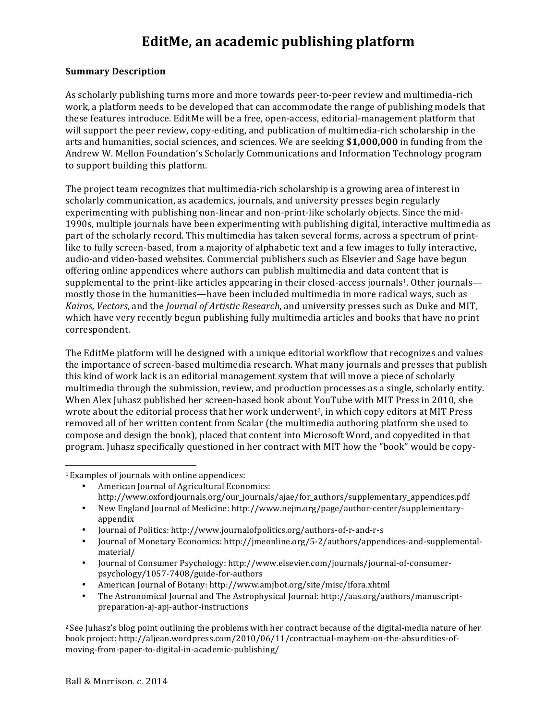# **EditMe, an academic publishing platform**

#### **Summary Description**

As scholarly publishing turns more and more towards peer-to-peer review and multimedia-rich work, a platform needs to be developed that can accommodate the range of publishing models that these features introduce. EditMe will be a free, open-access, editorial-management platform that will support the peer review, copy-editing, and publication of multimedia-rich scholarship in the arts and humanities, social sciences, and sciences. We are seeking **\$1,000,000** in funding from the Andrew W. Mellon Foundation's Scholarly Communications and Information Technology program to support building this platform.

The project team recognizes that multimedia-rich scholarship is a growing area of interest in scholarly communication, as academics, journals, and university presses begin regularly experimenting with publishing non-linear and non-print-like scholarly objects. Since the mid-1990s, multiple journals have been experimenting with publishing digital, interactive multimedia as part of the scholarly record. This multimedia has taken several forms, across a spectrum of printlike to fully screen-based, from a majority of alphabetic text and a few images to fully interactive, audio-and video-based websites. Commercial publishers such as Elsevier and Sage have begun offering online appendices where authors can publish multimedia and data content that is supplemental to the print-like articles appearing in their closed-access journals<sup>1</sup>. Other journals mostly those in the humanities—have been included multimedia in more radical ways, such as *Kairos, Vectors,* and the *Journal of Artistic Research*, and university presses such as Duke and MIT, which have very recently begun publishing fully multimedia articles and books that have no print correspondent. 

The EditMe platform will be designed with a unique editorial workflow that recognizes and values the importance of screen-based multimedia research. What many journals and presses that publish this kind of work lack is an editorial management system that will move a piece of scholarly multimedia through the submission, review, and production processes as a single, scholarly entity. When Alex Juhasz published her screen-based book about YouTube with MIT Press in 2010, she wrote about the editorial process that her work underwent<sup>2</sup>, in which copy editors at MIT Press removed all of her written content from Scalar (the multimedia authoring platform she used to compose and design the book), placed that content into Microsoft Word, and copyedited in that program. Juhasz specifically questioned in her contract with MIT how the "book" would be copy-

  $1$  Examples of journals with online appendices:

- American Iournal of Agricultural Economics: http://www.oxfordjournals.org/our\_journals/ajae/for\_authors/supplementary\_appendices.pdf
- New England Journal of Medicine: http://www.nejm.org/page/author-center/supplementaryappendix
- Journal of Politics: http://www.journalofpolitics.org/authors-of-r-and-r-s
- Journal of Monetary Economics: http://jmeonline.org/5-2/authors/appendices-and-supplementalmaterial/
- Journal of Consumer Psychology: http://www.elsevier.com/journals/journal-of-consumerpsychology/1057-7408/guide-for-authors
- American Journal of Botany: http://www.amjbot.org/site/misc/ifora.xhtml
- The Astronomical Journal and The Astrophysical Journal: http://aas.org/authors/manuscriptpreparation-aj-apj-author-instructions

 $2$  See Juhasz's blog point outlining the problems with her contract because of the digital-media nature of her book project: http://aljean.wordpress.com/2010/06/11/contractual-mayhem-on-the-absurdities-ofmoving-from-paper-to-digital-in-academic-publishing/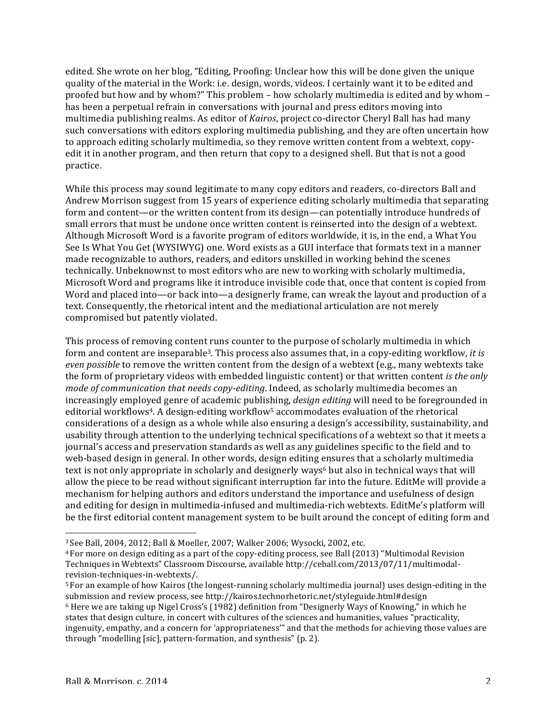edited. She wrote on her blog, "Editing, Proofing: Unclear how this will be done given the unique quality of the material in the Work: i.e. design, words, videos. I certainly want it to be edited and proofed but how and by whom?" This problem – how scholarly multimedia is edited and by whom – has been a perpetual refrain in conversations with journal and press editors moving into multimedia publishing realms. As editor of *Kairos*, project co-director Cheryl Ball has had many such conversations with editors exploring multimedia publishing, and they are often uncertain how to approach editing scholarly multimedia, so they remove written content from a webtext, copyedit it in another program, and then return that copy to a designed shell. But that is not a good practice. 

While this process may sound legitimate to many copy editors and readers, co-directors Ball and Andrew Morrison suggest from 15 years of experience editing scholarly multimedia that separating form and content—or the written content from its design—can potentially introduce hundreds of small errors that must be undone once written content is reinserted into the design of a webtext. Although Microsoft Word is a favorite program of editors worldwide, it is, in the end, a What You See Is What You Get (WYSIWYG) one. Word exists as a GUI interface that formats text in a manner made recognizable to authors, readers, and editors unskilled in working behind the scenes technically. Unbeknownst to most editors who are new to working with scholarly multimedia, Microsoft Word and programs like it introduce invisible code that, once that content is copied from Word and placed into—or back into—a designerly frame, can wreak the layout and production of a text. Consequently, the rhetorical intent and the mediational articulation are not merely compromised but patently violated.

This process of removing content runs counter to the purpose of scholarly multimedia in which form and content are inseparable<sup>3</sup>. This process also assumes that, in a copy-editing workflow, *it is even possible* to remove the written content from the design of a webtext (e.g., many webtexts take the form of proprietary videos with embedded linguistic content) or that written content *is the only mode of communication that needs copy-editing*. Indeed, as scholarly multimedia becomes an increasingly employed genre of academic publishing, *design editing* will need to be foregrounded in editorial workflows<sup>4</sup>. A design-editing workflow<sup>5</sup> accommodates evaluation of the rhetorical considerations of a design as a whole while also ensuring a design's accessibility, sustainability, and usability through attention to the underlying technical specifications of a webtext so that it meets a journal's access and preservation standards as well as any guidelines specific to the field and to web-based design in general. In other words, design editing ensures that a scholarly multimedia text is not only appropriate in scholarly and designerly ways<sup>6</sup> but also in technical ways that will allow the piece to be read without significant interruption far into the future. EditMe will provide a mechanism for helping authors and editors understand the importance and usefulness of design and editing for design in multimedia-infused and multimedia-rich webtexts. EditMe's platform will be the first editorial content management system to be built around the concept of editing form and

<sup>&</sup>lt;sup>3</sup> See Ball, 2004, 2012; Ball & Moeller, 2007; Walker 2006; Wysocki, 2002, etc.

 $4$  For more on design editing as a part of the copy-editing process, see Ball (2013) "Multimodal Revision Techniques in Webtexts" Classroom Discourse, available http://ceball.com/2013/07/11/multimodalrevision-techniques-in-webtexts/. 

<sup>&</sup>lt;sup>5</sup> For an example of how Kairos (the longest-running scholarly multimedia journal) uses design-editing in the submission and review process, see http://kairos.technorhetoric.net/styleguide.html#design  $6$  Here we are taking up Nigel Cross's (1982) definition from "Designerly Ways of Knowing," in which he states that design culture, in concert with cultures of the sciences and humanities, values "practicality, ingenuity, empathy, and a concern for 'appropriateness'" and that the methods for achieving those values are through "modelling [sic], pattern-formation, and synthesis" (p. 2).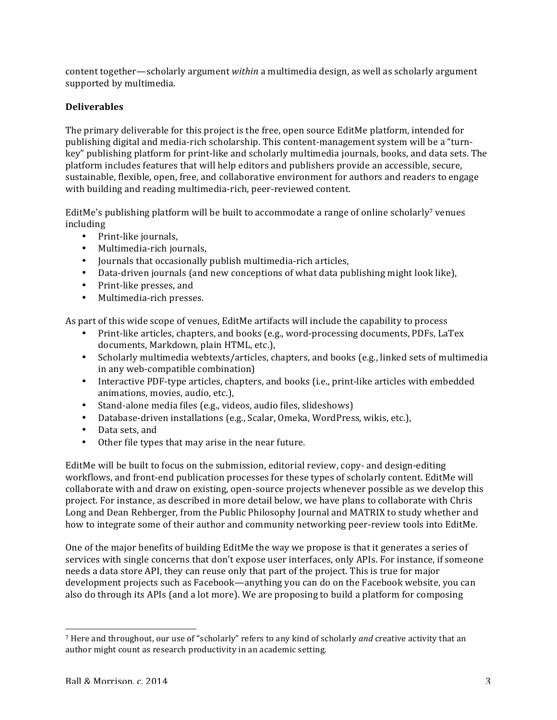content together—scholarly argument *within* a multimedia design, as well as scholarly argument supported by multimedia.

## **Deliverables**

The primary deliverable for this project is the free, open source EditMe platform, intended for publishing digital and media-rich scholarship. This content-management system will be a "turnkey" publishing platform for print-like and scholarly multimedia journals, books, and data sets. The platform includes features that will help editors and publishers provide an accessible, secure, sustainable, flexible, open, free, and collaborative environment for authors and readers to engage with building and reading multimedia-rich, peer-reviewed content.

EditMe's publishing platform will be built to accommodate a range of online scholarly<sup>7</sup> venues including 

- Print-like journals,
- Multimedia-rich journals,
- Journals that occasionally publish multimedia-rich articles,
- Data-driven journals (and new conceptions of what data publishing might look like),
- Print-like presses, and
- Multimedia-rich presses.

As part of this wide scope of venues, EditMe artifacts will include the capability to process

- Print-like articles, chapters, and books (e.g., word-processing documents, PDFs, LaTex documents, Markdown, plain HTML, etc.),
- Scholarly multimedia webtexts/articles, chapters, and books (e.g., linked sets of multimedia in any web-compatible combination)
- Interactive PDF-type articles, chapters, and books (i.e., print-like articles with embedded animations, movies, audio, etc.),
- Stand-alone media files (e.g., videos, audio files, slideshows)
- Database-driven installations (e.g., Scalar, Omeka, WordPress, wikis, etc.),
- Data sets, and
- Other file types that may arise in the near future.

EditMe will be built to focus on the submission, editorial review, copy- and design-editing workflows, and front-end publication processes for these types of scholarly content. EditMe will collaborate with and draw on existing, open-source projects whenever possible as we develop this project. For instance, as described in more detail below, we have plans to collaborate with Chris Long and Dean Rehberger, from the Public Philosophy Journal and MATRIX to study whether and how to integrate some of their author and community networking peer-review tools into EditMe.

One of the major benefits of building EditMe the way we propose is that it generates a series of services with single concerns that don't expose user interfaces, only APIs. For instance, if someone needs a data store API, they can reuse only that part of the project. This is true for major development projects such as Facebook—anything you can do on the Facebook website, you can also do through its APIs (and a lot more). We are proposing to build a platform for composing

<sup>&</sup>lt;sup>7</sup> Here and throughout, our use of "scholarly" refers to any kind of scholarly *and* creative activity that an author might count as research productivity in an academic setting.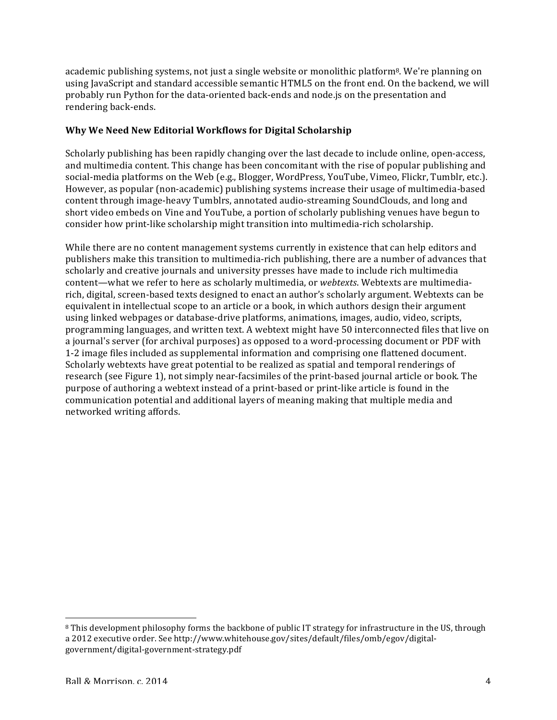academic publishing systems, not just a single website or monolithic platform<sup>8</sup>. We're planning on using JavaScript and standard accessible semantic HTML5 on the front end. On the backend, we will probably run Python for the data-oriented back-ends and node.js on the presentation and rendering back-ends.

## Why We Need New Editorial Workflows for Digital Scholarship

Scholarly publishing has been rapidly changing over the last decade to include online, open-access, and multimedia content. This change has been concomitant with the rise of popular publishing and social-media platforms on the Web (e.g., Blogger, WordPress, YouTube, Vimeo, Flickr, Tumblr, etc.). However, as popular (non-academic) publishing systems increase their usage of multimedia-based content through image-heavy Tumblrs, annotated audio-streaming SoundClouds, and long and short video embeds on Vine and YouTube, a portion of scholarly publishing venues have begun to consider how print-like scholarship might transition into multimedia-rich scholarship.

While there are no content management systems currently in existence that can help editors and publishers make this transition to multimedia-rich publishing, there are a number of advances that scholarly and creative journals and university presses have made to include rich multimedia content—what we refer to here as scholarly multimedia, or *webtexts*. Webtexts are multimediarich, digital, screen-based texts designed to enact an author's scholarly argument. Webtexts can be equivalent in intellectual scope to an article or a book, in which authors design their argument using linked webpages or database-drive platforms, animations, images, audio, video, scripts, programming languages, and written text. A webtext might have 50 interconnected files that live on a journal's server (for archival purposes) as opposed to a word-processing document or PDF with 1-2 image files included as supplemental information and comprising one flattened document. Scholarly webtexts have great potential to be realized as spatial and temporal renderings of research (see Figure 1), not simply near-facsimiles of the print-based journal article or book. The purpose of authoring a webtext instead of a print-based or print-like article is found in the communication potential and additional layers of meaning making that multiple media and networked writing affords.

<sup>&</sup>lt;sup>8</sup> This development philosophy forms the backbone of public IT strategy for infrastructure in the US, through a 2012 executive order. See http://www.whitehouse.gov/sites/default/files/omb/egov/digitalgovernment/digital-government-strategy.pdf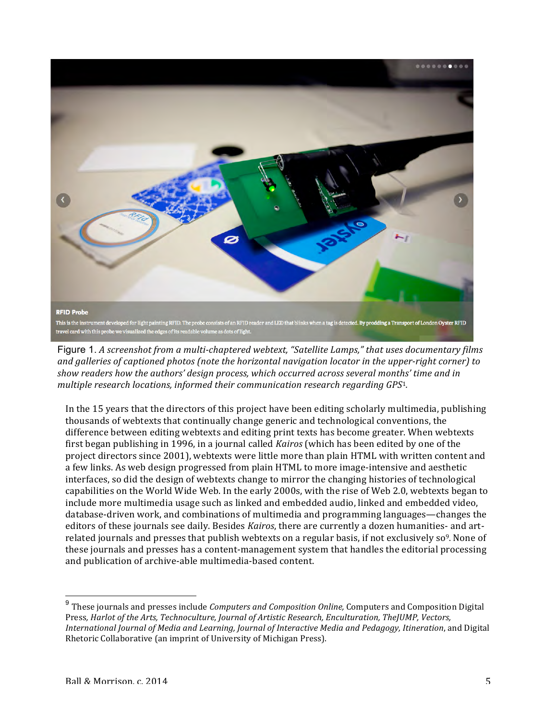

Figure 1. A screenshot from a multi-chaptered webtext, "Satellite Lamps," that uses documentary films and galleries of captioned photos (note the horizontal navigation locator in the upper-right corner) to show readers how the authors' design process, which occurred across several months' time and in *multiple research locations, informed their communication research regarding GPS<sup>1</sup>.* 

In the 15 years that the directors of this project have been editing scholarly multimedia, publishing thousands of webtexts that continually change generic and technological conventions, the difference between editing webtexts and editing print texts has become greater. When webtexts first began publishing in 1996, in a journal called *Kairos* (which has been edited by one of the project directors since 2001), webtexts were little more than plain HTML with written content and a few links. As web design progressed from plain HTML to more image-intensive and aesthetic interfaces, so did the design of webtexts change to mirror the changing histories of technological capabilities on the World Wide Web. In the early 2000s, with the rise of Web 2.0, webtexts began to include more multimedia usage such as linked and embedded audio, linked and embedded video, database-driven work, and combinations of multimedia and programming languages—changes the editors of these journals see daily. Besides *Kairos*, there are currently a dozen humanities- and artrelated journals and presses that publish webtexts on a regular basis, if not exclusively so<sup>9</sup>. None of these journals and presses has a content-management system that handles the editorial processing and publication of archive-able multimedia-based content.

<sup>&</sup>lt;sup>9</sup> These journals and presses include *Computers and Composition Online,* Computers and Composition Digital Press, *Harlot of the Arts, Technoculture, Journal of Artistic Research, Enculturation, TheJUMP, Vectors, International Journal of Media and Learning, Journal of Interactive Media and Pedagogy, Itineration*, and Digital Rhetoric Collaborative (an imprint of University of Michigan Press).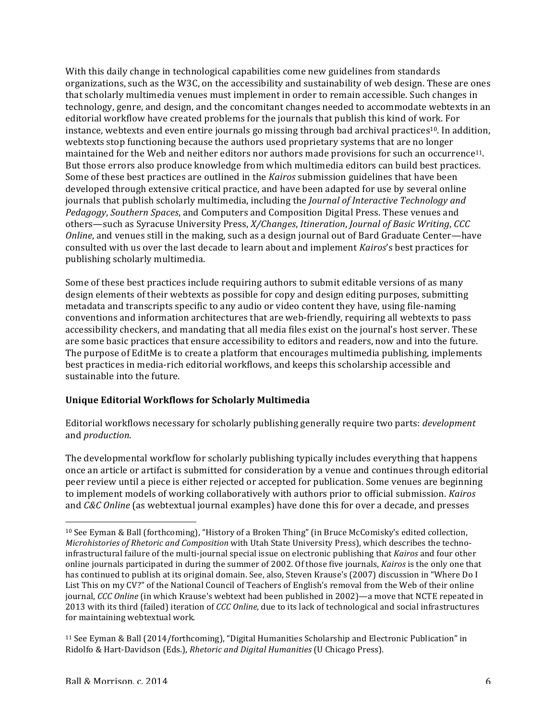With this daily change in technological capabilities come new guidelines from standards organizations, such as the W3C, on the accessibility and sustainability of web design. These are ones that scholarly multimedia venues must implement in order to remain accessible. Such changes in technology, genre, and design, and the concomitant changes needed to accommodate webtexts in an editorial workflow have created problems for the journals that publish this kind of work. For instance, webtexts and even entire journals go missing through bad archival practices<sup>10</sup>. In addition, webtexts stop functioning because the authors used proprietary systems that are no longer maintained for the Web and neither editors nor authors made provisions for such an occurrence<sup>11</sup>. But those errors also produce knowledge from which multimedia editors can build best practices. Some of these best practices are outlined in the *Kairos* submission guidelines that have been developed through extensive critical practice, and have been adapted for use by several online journals that publish scholarly multimedia, including the *Journal of Interactive Technology and Pedagogy*, *Southern Spaces*, and Computers and Composition Digital Press. These venues and others—such as Syracuse University Press, *X/Changes*, *Itineration*, *Journal of Basic Writing*, *CCC Online*, and venues still in the making, such as a design journal out of Bard Graduate Center—have consulted with us over the last decade to learn about and implement *Kairos's* best practices for publishing scholarly multimedia.

Some of these best practices include requiring authors to submit editable versions of as many design elements of their webtexts as possible for copy and design editing purposes, submitting metadata and transcripts specific to any audio or video content they have, using file-naming conventions and information architectures that are web-friendly, requiring all webtexts to pass accessibility checkers, and mandating that all media files exist on the journal's host server. These are some basic practices that ensure accessibility to editors and readers, now and into the future. The purpose of EditMe is to create a platform that encourages multimedia publishing, implements best practices in media-rich editorial workflows, and keeps this scholarship accessible and sustainable into the future.

## **Unique Editorial Workflows for Scholarly Multimedia**

Editorial workflows necessary for scholarly publishing generally require two parts: *development* and *production*. 

The developmental workflow for scholarly publishing typically includes everything that happens once an article or artifact is submitted for consideration by a venue and continues through editorial peer review until a piece is either rejected or accepted for publication. Some venues are beginning to implement models of working collaboratively with authors prior to official submission. *Kairos* and *C&C* Online (as webtextual journal examples) have done this for over a decade, and presses

<sup>&</sup>lt;sup>10</sup> See Eyman & Ball (forthcoming), "History of a Broken Thing" (in Bruce McComisky's edited collection, *Microhistories of Rhetoric and Composition* with Utah State University Press), which describes the technoinfrastructural failure of the multi-journal special issue on electronic publishing that *Kairos* and four other online journals participated in during the summer of 2002. Of those five journals, *Kairos* is the only one that has continued to publish at its original domain. See, also, Steven Krause's (2007) discussion in "Where Do I List This on my CV?" of the National Council of Teachers of English's removal from the Web of their online journal, *CCC* Online (in which Krause's webtext had been published in 2002)—a move that NCTE repeated in 2013 with its third (failed) iteration of *CCC Online*, due to its lack of technological and social infrastructures for maintaining webtextual work.

<sup>&</sup>lt;sup>11</sup> See Eyman & Ball (2014/forthcoming), "Digital Humanities Scholarship and Electronic Publication" in Ridolfo & Hart-Davidson (Eds.), *Rhetoric and Digital Humanities* (U Chicago Press).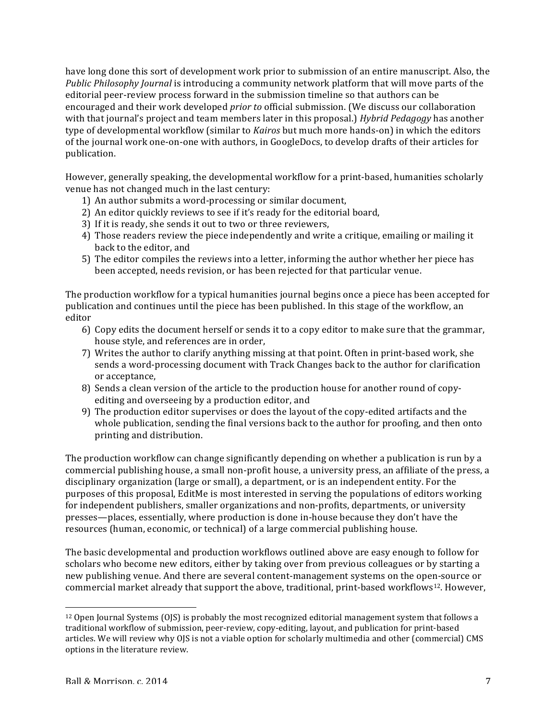have long done this sort of development work prior to submission of an entire manuscript. Also, the *Public Philosophy Journal* is introducing a community network platform that will move parts of the editorial peer-review process forward in the submission timeline so that authors can be encouraged and their work developed *prior to* official submission. (We discuss our collaboration with that journal's project and team members later in this proposal.) *Hybrid Pedagogy* has another type of developmental workflow (similar to *Kairos* but much more hands-on) in which the editors of the journal work one-on-one with authors, in GoogleDocs, to develop drafts of their articles for publication. 

However, generally speaking, the developmental workflow for a print-based, humanities scholarly venue has not changed much in the last century:

- 1) An author submits a word-processing or similar document,
- 2) An editor quickly reviews to see if it's ready for the editorial board,
- 3) If it is ready, she sends it out to two or three reviewers,
- 4) Those readers review the piece independently and write a critique, emailing or mailing it back to the editor, and
- 5) The editor compiles the reviews into a letter, informing the author whether her piece has been accepted, needs revision, or has been rejected for that particular venue.

The production workflow for a typical humanities journal begins once a piece has been accepted for publication and continues until the piece has been published. In this stage of the workflow, an editor

- 6) Copy edits the document herself or sends it to a copy editor to make sure that the grammar, house style, and references are in order,
- 7) Writes the author to clarify anything missing at that point. Often in print-based work, she sends a word-processing document with Track Changes back to the author for clarification or acceptance.
- 8) Sends a clean version of the article to the production house for another round of copyediting and overseeing by a production editor, and
- 9) The production editor supervises or does the layout of the copy-edited artifacts and the whole publication, sending the final versions back to the author for proofing, and then onto printing and distribution.

The production workflow can change significantly depending on whether a publication is run by a commercial publishing house, a small non-profit house, a university press, an affiliate of the press, a disciplinary organization (large or small), a department, or is an independent entity. For the purposes of this proposal, EditMe is most interested in serving the populations of editors working for independent publishers, smaller organizations and non-profits, departments, or university presses—places, essentially, where production is done in-house because they don't have the resources (human, economic, or technical) of a large commercial publishing house.

The basic developmental and production workflows outlined above are easy enough to follow for scholars who become new editors, either by taking over from previous colleagues or by starting a new publishing venue. And there are several content-management systems on the open-source or commercial market already that support the above, traditional, print-based workflows<sup>12</sup>. However,

 $12$  Open Journal Systems (OJS) is probably the most recognized editorial management system that follows a traditional workflow of submission, peer-review, copy-editing, layout, and publication for print-based articles. We will review why OJS is not a viable option for scholarly multimedia and other (commercial) CMS options in the literature review.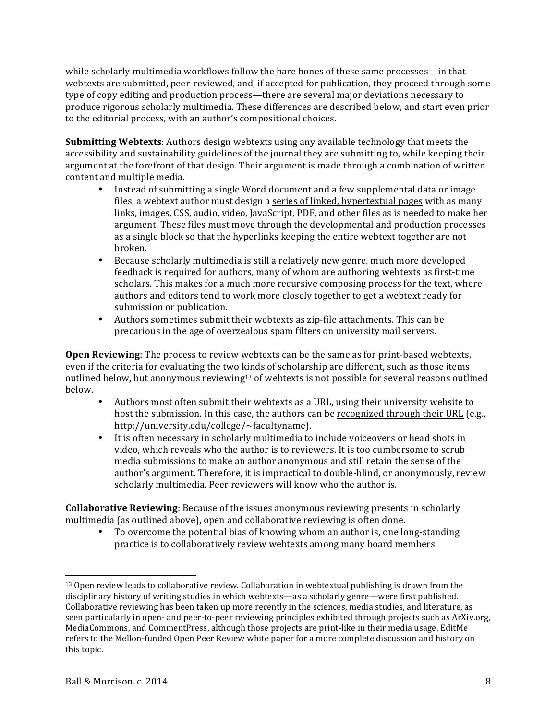while scholarly multimedia workflows follow the bare bones of these same processes—in that webtexts are submitted, peer-reviewed, and, if accepted for publication, they proceed through some type of copy editing and production process—there are several major deviations necessary to produce rigorous scholarly multimedia. These differences are described below, and start even prior to the editorial process, with an author's compositional choices.

**Submitting Webtexts:** Authors design webtexts using any available technology that meets the accessibility and sustainability guidelines of the journal they are submitting to, while keeping their argument at the forefront of that design. Their argument is made through a combination of written content and multiple media.

- Instead of submitting a single Word document and a few supplemental data or image files, a webtext author must design a series of linked, hypertextual pages with as many links, images, CSS, audio, video, JavaScript, PDF, and other files as is needed to make her argument. These files must move through the developmental and production processes as a single block so that the hyperlinks keeping the entire webtext together are not broken.
- Because scholarly multimedia is still a relatively new genre, much more developed feedback is required for authors, many of whom are authoring webtexts as first-time scholars. This makes for a much more recursive composing process for the text, where authors and editors tend to work more closely together to get a webtext ready for submission or publication.
- Authors sometimes submit their webtexts as zip-file attachments. This can be precarious in the age of overzealous spam filters on university mail servers.

**Open Reviewing**: The process to review webtexts can be the same as for print-based webtexts, even if the criteria for evaluating the two kinds of scholarship are different, such as those items outlined below, but anonymous reviewing<sup>13</sup> of webtexts is not possible for several reasons outlined below.

- Authors most often submit their webtexts as a URL, using their university website to host the submission. In this case, the authors can be recognized through their URL (e.g., http://university.edu/college/~facultyname).
- It is often necessary in scholarly multimedia to include voiceovers or head shots in video, which reveals who the author is to reviewers. It is too cumbersome to scrub media submissions to make an author anonymous and still retain the sense of the author's argument. Therefore, it is impractical to double-blind, or anonymously, review scholarly multimedia. Peer reviewers will know who the author is.

**Collaborative Reviewing:** Because of the issues anonymous reviewing presents in scholarly multimedia (as outlined above), open and collaborative reviewing is often done.

To overcome the potential bias of knowing whom an author is, one long-standing practice is to collaboratively review webtexts among many board members.

<sup>&</sup>lt;sup>13</sup> Open review leads to collaborative review. Collaboration in webtextual publishing is drawn from the disciplinary history of writing studies in which webtexts—as a scholarly genre—were first published. Collaborative reviewing has been taken up more recently in the sciences, media studies, and literature, as seen particularly in open- and peer-to-peer reviewing principles exhibited through projects such as ArXiv.org, MediaCommons, and CommentPress, although those projects are print-like in their media usage. EditMe refers to the Mellon-funded Open Peer Review white paper for a more complete discussion and history on this topic.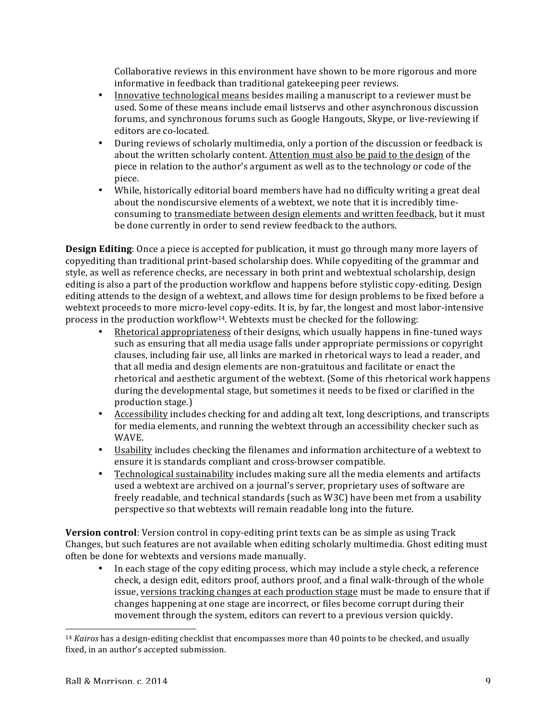Collaborative reviews in this environment have shown to be more rigorous and more informative in feedback than traditional gatekeeping peer reviews.

- Innovative technological means besides mailing a manuscript to a reviewer must be used. Some of these means include email listservs and other asynchronous discussion forums, and synchronous forums such as Google Hangouts, Skype, or live-reviewing if editors are co-located.
- During reviews of scholarly multimedia, only a portion of the discussion or feedback is about the written scholarly content. Attention must also be paid to the design of the piece in relation to the author's argument as well as to the technology or code of the piece.
- While, historically editorial board members have had no difficulty writing a great deal about the nondiscursive elements of a webtext, we note that it is incredibly timeconsuming to transmediate between design elements and written feedback, but it must be done currently in order to send review feedback to the authors.

**Design Editing**: Once a piece is accepted for publication, it must go through many more layers of copyediting than traditional print-based scholarship does. While copyediting of the grammar and style, as well as reference checks, are necessary in both print and webtextual scholarship, design editing is also a part of the production workflow and happens before stylistic copy-editing. Design editing attends to the design of a webtext, and allows time for design problems to be fixed before a webtext proceeds to more micro-level copy-edits. It is, by far, the longest and most labor-intensive process in the production workflow<sup>14</sup>. Webtexts must be checked for the following:

- Rhetorical appropriateness of their designs, which usually happens in fine-tuned ways such as ensuring that all media usage falls under appropriate permissions or copyright clauses, including fair use, all links are marked in rhetorical ways to lead a reader, and that all media and design elements are non-gratuitous and facilitate or enact the rhetorical and aesthetic argument of the webtext. (Some of this rhetorical work happens during the developmental stage, but sometimes it needs to be fixed or clarified in the production stage.)
- Accessibility includes checking for and adding alt text, long descriptions, and transcripts for media elements, and running the webtext through an accessibility checker such as WAVE.
- Usability includes checking the filenames and information architecture of a webtext to ensure it is standards compliant and cross-browser compatible.
- Technological sustainability includes making sure all the media elements and artifacts used a webtext are archived on a journal's server, proprietary uses of software are freely readable, and technical standards (such as W3C) have been met from a usability perspective so that webtexts will remain readable long into the future.

**Version control**: Version control in copy-editing print texts can be as simple as using Track Changes, but such features are not available when editing scholarly multimedia. Ghost editing must often be done for webtexts and versions made manually.

• In each stage of the copy editing process, which may include a style check, a reference check, a design edit, editors proof, authors proof, and a final walk-through of the whole issue, versions tracking changes at each production stage must be made to ensure that if changes happening at one stage are incorrect, or files become corrupt during their movement through the system, editors can revert to a previous version quickly.

<u> 1989 - Johann Stein, marwolaethau a bh</u>

<sup>&</sup>lt;sup>14</sup> *Kairos* has a design-editing checklist that encompasses more than 40 points to be checked, and usually fixed, in an author's accepted submission.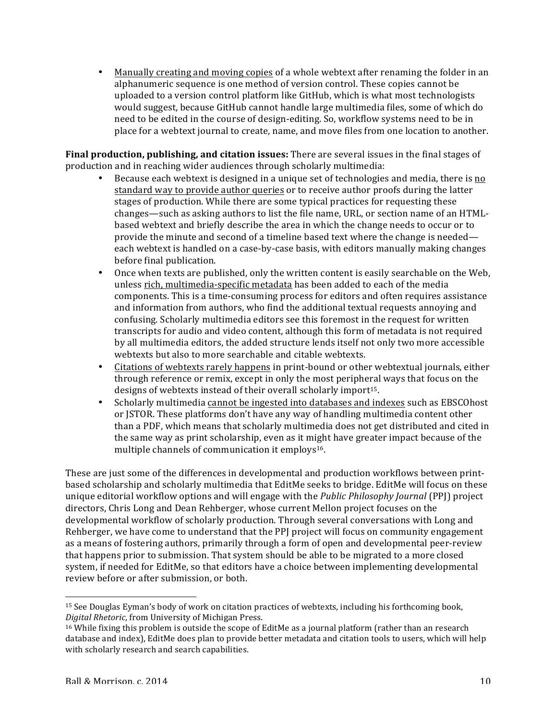• Manually creating and moving copies of a whole webtext after renaming the folder in an alphanumeric sequence is one method of version control. These copies cannot be uploaded to a version control platform like GitHub, which is what most technologists would suggest, because GitHub cannot handle large multimedia files, some of which do need to be edited in the course of design-editing. So, workflow systems need to be in place for a webtext journal to create, name, and move files from one location to another.

**Final production, publishing, and citation issues:** There are several issues in the final stages of production and in reaching wider audiences through scholarly multimedia:

- Because each webtext is designed in a unique set of technologies and media, there is no standard way to provide author queries or to receive author proofs during the latter stages of production. While there are some typical practices for requesting these  $changes$ —such as asking authors to list the file name, URL, or section name of an HTMLbased webtext and briefly describe the area in which the change needs to occur or to provide the minute and second of a timeline based text where the change is needed each webtext is handled on a case-by-case basis, with editors manually making changes before final publication.
- Once when texts are published, only the written content is easily searchable on the Web, unless rich, multimedia-specific metadata has been added to each of the media components. This is a time-consuming process for editors and often requires assistance and information from authors, who find the additional textual requests annoying and confusing. Scholarly multimedia editors see this foremost in the request for written transcripts for audio and video content, although this form of metadata is not required by all multimedia editors, the added structure lends itself not only two more accessible webtexts but also to more searchable and citable webtexts.
- Citations of webtexts rarely happens in print-bound or other webtextual journals, either through reference or remix, except in only the most peripheral ways that focus on the designs of webtexts instead of their overall scholarly import<sup>15</sup>.
- Scholarly multimedia cannot be ingested into databases and indexes such as EBSCOhost or JSTOR. These platforms don't have any way of handling multimedia content other than a PDF, which means that scholarly multimedia does not get distributed and cited in the same way as print scholarship, even as it might have greater impact because of the multiple channels of communication it employs<sup>16</sup>.

These are just some of the differences in developmental and production workflows between printbased scholarship and scholarly multimedia that EditMe seeks to bridge. EditMe will focus on these unique editorial workflow options and will engage with the *Public Philosophy Journal* (PPJ) project directors, Chris Long and Dean Rehberger, whose current Mellon project focuses on the developmental workflow of scholarly production. Through several conversations with Long and Rehberger, we have come to understand that the PPJ project will focus on community engagement as a means of fostering authors, primarily through a form of open and developmental peer-review that happens prior to submission. That system should be able to be migrated to a more closed system, if needed for EditMe, so that editors have a choice between implementing developmental review before or after submission, or both.

 $15$  See Douglas Eyman's body of work on citation practices of webtexts, including his forthcoming book, *Digital Rhetoric*, from University of Michigan Press. 

 $16$  While fixing this problem is outside the scope of EditMe as a journal platform (rather than an research database and index), EditMe does plan to provide better metadata and citation tools to users, which will help with scholarly research and search capabilities.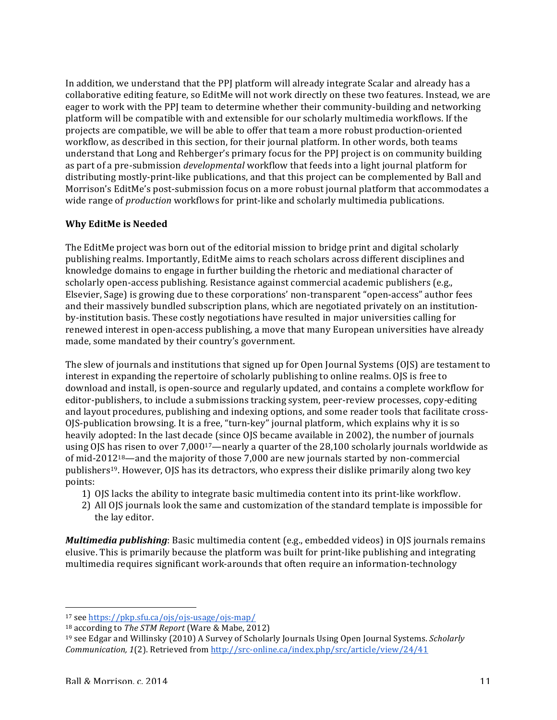In addition, we understand that the PPJ platform will already integrate Scalar and already has a collaborative editing feature, so EditMe will not work directly on these two features. Instead, we are eager to work with the PPI team to determine whether their community-building and networking platform will be compatible with and extensible for our scholarly multimedia workflows. If the projects are compatible, we will be able to offer that team a more robust production-oriented workflow, as described in this section, for their journal platform. In other words, both teams understand that Long and Rehberger's primary focus for the PPJ project is on community building as part of a pre-submission *developmental* workflow that feeds into a light journal platform for distributing mostly-print-like publications, and that this project can be complemented by Ball and Morrison's EditMe's post-submission focus on a more robust journal platform that accommodates a wide range of *production* workflows for print-like and scholarly multimedia publications.

### **Why EditMe is Needed**

The EditMe project was born out of the editorial mission to bridge print and digital scholarly publishing realms. Importantly, EditMe aims to reach scholars across different disciplines and knowledge domains to engage in further building the rhetoric and mediational character of scholarly open-access publishing. Resistance against commercial academic publishers (e.g., Elsevier, Sage) is growing due to these corporations' non-transparent "open-access" author fees and their massively bundled subscription plans, which are negotiated privately on an institutionby-institution basis. These costly negotiations have resulted in major universities calling for renewed interest in open-access publishing, a move that many European universities have already made, some mandated by their country's government.

The slew of journals and institutions that signed up for Open Journal Systems  $(O|S)$  are testament to interest in expanding the repertoire of scholarly publishing to online realms. OJS is free to download and install, is open-source and regularly updated, and contains a complete workflow for editor-publishers, to include a submissions tracking system, peer-review processes, copy-editing and layout procedures, publishing and indexing options, and some reader tools that facilitate cross-OJS-publication browsing. It is a free, "turn-key" journal platform, which explains why it is so heavily adopted: In the last decade (since OJS became available in 2002), the number of journals using OJS has risen to over  $7,000^{17}$ —nearly a quarter of the 28,100 scholarly journals worldwide as of mid-2012<sup>18</sup>—and the majority of those  $7,000$  are new journals started by non-commercial publishers<sup>19</sup>. However, OJS has its detractors, who express their dislike primarily along two key points: 

- 1) OJS lacks the ability to integrate basic multimedia content into its print-like workflow.
- 2) All OJS journals look the same and customization of the standard template is impossible for the lay editor.

*Multimedia publishing*: Basic multimedia content (e.g., embedded videos) in OJS journals remains elusive. This is primarily because the platform was built for print-like publishing and integrating multimedia requires significant work-arounds that often require an information-technology

<sup>17</sup> see https://pkp.sfu.ca/ojs/ojs-usage/ojs-map/

<sup>&</sup>lt;sup>18</sup> according to *The STM Report* (Ware & Mabe, 2012)

<sup>&</sup>lt;sup>19</sup> see Edgar and Willinsky (2010) A Survey of Scholarly Journals Using Open Journal Systems. *Scholarly Communication,* 1(2). Retrieved from http://src-online.ca/index.php/src/article/view/24/41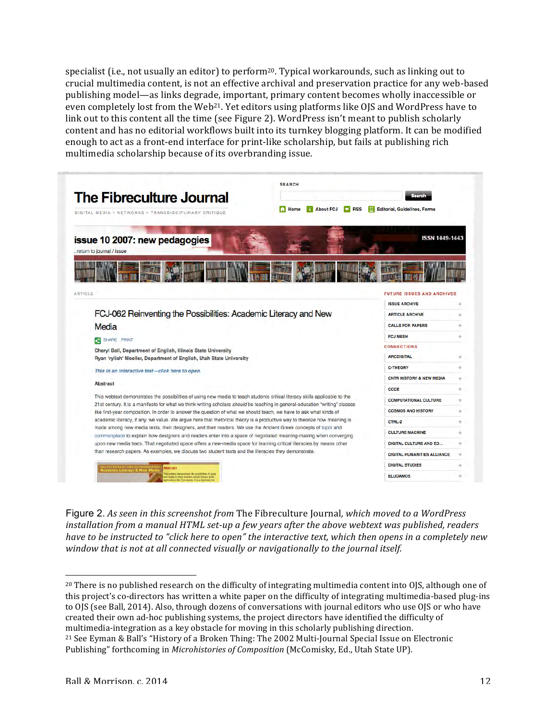specialist (i.e., not usually an editor) to  $perform^{20}$ . Typical workarounds, such as linking out to crucial multimedia content, is not an effective archival and preservation practice for any web-based publishing model—as links degrade, important, primary content becomes wholly inaccessible or even completely lost from the Web<sup>21</sup>. Yet editors using platforms like OJS and WordPress have to link out to this content all the time (see Figure 2). WordPress isn't meant to publish scholarly content and has no editorial workflows built into its turnkey blogging platform. It can be modified enough to act as a front-end interface for print-like scholarship, but fails at publishing rich multimedia scholarship because of its overbranding issue.

| The Fibreculture Journal<br>DIGITAL MEDIA + NETWORKS + TRANSDISCIPLINARY CRITIQUE                                                                                                                                                                                                                                                                                                                                                                                                                                                                                                                                                                                                                                                                                                                                                                                                                                                                                                                                                                                                                                                | <b>SEARCH</b><br>Search<br><b>About FCJ</b><br><b>RSS</b><br><b>Editorial, Guidelines, Forms</b><br>$\bullet$<br>Home<br>R |                                                              |                                |
|----------------------------------------------------------------------------------------------------------------------------------------------------------------------------------------------------------------------------------------------------------------------------------------------------------------------------------------------------------------------------------------------------------------------------------------------------------------------------------------------------------------------------------------------------------------------------------------------------------------------------------------------------------------------------------------------------------------------------------------------------------------------------------------------------------------------------------------------------------------------------------------------------------------------------------------------------------------------------------------------------------------------------------------------------------------------------------------------------------------------------------|----------------------------------------------------------------------------------------------------------------------------|--------------------------------------------------------------|--------------------------------|
| issue 10 2007: new pedagogies<br>return to journal / issue                                                                                                                                                                                                                                                                                                                                                                                                                                                                                                                                                                                                                                                                                                                                                                                                                                                                                                                                                                                                                                                                       |                                                                                                                            | <b>ISSN 1449-1443</b>                                        |                                |
| ARTICLE                                                                                                                                                                                                                                                                                                                                                                                                                                                                                                                                                                                                                                                                                                                                                                                                                                                                                                                                                                                                                                                                                                                          |                                                                                                                            | <b>FUTURE ISSUES AND ARCHIVES</b>                            |                                |
|                                                                                                                                                                                                                                                                                                                                                                                                                                                                                                                                                                                                                                                                                                                                                                                                                                                                                                                                                                                                                                                                                                                                  |                                                                                                                            | <b>ISSUE ARCHIVE</b><br><b>ARTICLE ARCHIVE</b>               | $\rightarrow$                  |
| FCJ-062 Reinventing the Possibilities: Academic Literacy and New<br>Media                                                                                                                                                                                                                                                                                                                                                                                                                                                                                                                                                                                                                                                                                                                                                                                                                                                                                                                                                                                                                                                        |                                                                                                                            | <b>CALLS FOR PAPERS</b>                                      | $\rightarrow$<br>$\rightarrow$ |
|                                                                                                                                                                                                                                                                                                                                                                                                                                                                                                                                                                                                                                                                                                                                                                                                                                                                                                                                                                                                                                                                                                                                  |                                                                                                                            | <b>FCJ MESH</b>                                              | $\rightarrow$                  |
| SHARE PRINT                                                                                                                                                                                                                                                                                                                                                                                                                                                                                                                                                                                                                                                                                                                                                                                                                                                                                                                                                                                                                                                                                                                      |                                                                                                                            | <b>CONNECTIONS</b>                                           |                                |
| Cheryl Ball, Department of English, Illinois State University                                                                                                                                                                                                                                                                                                                                                                                                                                                                                                                                                                                                                                                                                                                                                                                                                                                                                                                                                                                                                                                                    |                                                                                                                            | <b>ARCDIGITAL</b>                                            | $\rightarrow$                  |
| Ryan 'rylish' Moeller, Department of English, Utah State University<br>This in an interactive text-click here to open.<br><b>Abstract</b><br>This webtext demonstrates the possibilities of using new media to teach students critical literacy skills applicable to the<br>21st century. It is a manifesto for what we think writing scholars should be teaching in general-education "writing" classes<br>like first-year composition. In order to answer the question of what we should teach, we have to ask what kinds of<br>academic literacy, if any, we value. We argue here that rhetorical theory is a productive way to theorize how meaning is<br>made among new media texts, their designers, and their readers. We use the Ancient Greek concepts of topoi and<br>commonplace to explain how designers and readers enter into a space of negotiated meaning-making when converging<br>upon new media texts. That negotiated space offers a new-media space for learning critical literacies by means other<br>than research papers. As examples, we discuss two student texts and the literacies they demonstrate. |                                                                                                                            | <b>C-THEORY</b>                                              | $\rightarrow$                  |
|                                                                                                                                                                                                                                                                                                                                                                                                                                                                                                                                                                                                                                                                                                                                                                                                                                                                                                                                                                                                                                                                                                                                  |                                                                                                                            | <b>CNTR HISTORY &amp; NEW MEDIA</b>                          | $\rightarrow$                  |
|                                                                                                                                                                                                                                                                                                                                                                                                                                                                                                                                                                                                                                                                                                                                                                                                                                                                                                                                                                                                                                                                                                                                  |                                                                                                                            | CODE                                                         | $\rightarrow$                  |
|                                                                                                                                                                                                                                                                                                                                                                                                                                                                                                                                                                                                                                                                                                                                                                                                                                                                                                                                                                                                                                                                                                                                  |                                                                                                                            | <b>COMPUTATIONAL CULTURE</b>                                 | $\rightarrow$                  |
|                                                                                                                                                                                                                                                                                                                                                                                                                                                                                                                                                                                                                                                                                                                                                                                                                                                                                                                                                                                                                                                                                                                                  |                                                                                                                            | <b>COSMOS AND HISTORY</b>                                    | $\rightarrow$                  |
|                                                                                                                                                                                                                                                                                                                                                                                                                                                                                                                                                                                                                                                                                                                                                                                                                                                                                                                                                                                                                                                                                                                                  |                                                                                                                            | <b>CTRL-Z</b>                                                | $\rightarrow$                  |
|                                                                                                                                                                                                                                                                                                                                                                                                                                                                                                                                                                                                                                                                                                                                                                                                                                                                                                                                                                                                                                                                                                                                  |                                                                                                                            | <b>CULTURE MACHINE</b>                                       | $\rightarrow$                  |
|                                                                                                                                                                                                                                                                                                                                                                                                                                                                                                                                                                                                                                                                                                                                                                                                                                                                                                                                                                                                                                                                                                                                  |                                                                                                                            | <b>DIGITAL CULTURE AND ED</b>                                | $\rightarrow$                  |
|                                                                                                                                                                                                                                                                                                                                                                                                                                                                                                                                                                                                                                                                                                                                                                                                                                                                                                                                                                                                                                                                                                                                  |                                                                                                                            |                                                              |                                |
|                                                                                                                                                                                                                                                                                                                                                                                                                                                                                                                                                                                                                                                                                                                                                                                                                                                                                                                                                                                                                                                                                                                                  |                                                                                                                            |                                                              |                                |
|                                                                                                                                                                                                                                                                                                                                                                                                                                                                                                                                                                                                                                                                                                                                                                                                                                                                                                                                                                                                                                                                                                                                  |                                                                                                                            | <b>DIGITAL HUMANITIES ALLIANCE</b><br><b>DIGITAL STUDIES</b> | $\rightarrow$<br>$\rightarrow$ |

Figure 2. As seen in this screenshot from The Fibreculture Journal, which moved to a WordPress *installation from a manual HTML set-up a few years after the above webtext was published, readers have* to be instructed to "click here to open" the interactive text, which then opens in a completely new window that is not at all connected visually or navigationally to the journal itself.

  $20$  There is no published research on the difficulty of integrating multimedia content into OJS, although one of this project's co-directors has written a white paper on the difficulty of integrating multimedia-based plug-ins to OJS (see Ball, 2014). Also, through dozens of conversations with journal editors who use OJS or who have created their own ad-hoc publishing systems, the project directors have identified the difficulty of multimedia-integration as a key obstacle for moving in this scholarly publishing direction. <sup>21</sup> See Eyman & Ball's "History of a Broken Thing: The 2002 Multi-Journal Special Issue on Electronic Publishing" forthcoming in *Microhistories of Composition* (McComisky, Ed., Utah State UP).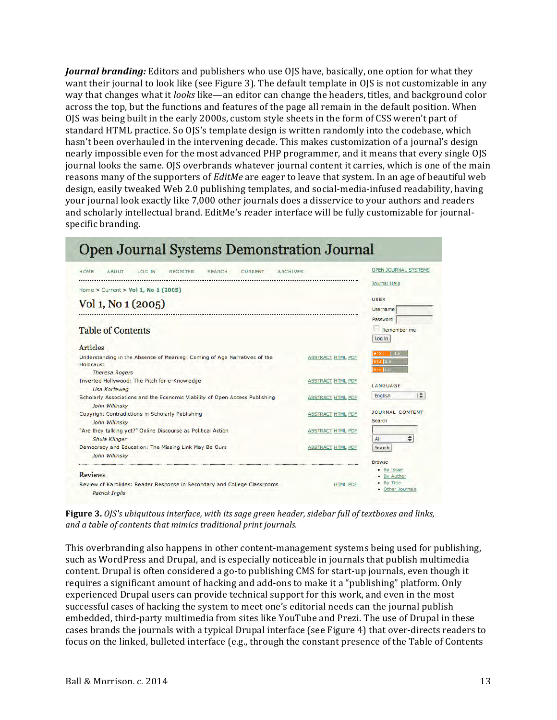*Journal branding:* Editors and publishers who use OJS have, basically, one option for what they want their journal to look like (see Figure 3). The default template in OJS is not customizable in any way that changes what it *looks* like—an editor can change the headers, titles, and background color across the top, but the functions and features of the page all remain in the default position. When OJS was being built in the early 2000s, custom style sheets in the form of CSS weren't part of standard HTML practice. So OJS's template design is written randomly into the codebase, which hasn't been overhauled in the intervening decade. This makes customization of a journal's design nearly impossible even for the most advanced PHP programmer, and it means that every single OJS journal looks the same. OJS overbrands whatever journal content it carries, which is one of the main reasons many of the supporters of *EditMe* are eager to leave that system. In an age of beautiful web design, easily tweaked Web 2.0 publishing templates, and social-media-infused readability, having your journal look exactly like 7,000 other journals does a disservice to your authors and readers and scholarly intellectual brand. EditMe's reader interface will be fully customizable for journalspecific branding.



**Figure 3.** *OJS's* ubiquitous interface, with its sage green header, sidebar full of textboxes and links, and a table of contents that mimics traditional print journals.

This overbranding also happens in other content-management systems being used for publishing, such as WordPress and Drupal, and is especially noticeable in journals that publish multimedia content. Drupal is often considered a go-to publishing CMS for start-up journals, even though it requires a significant amount of hacking and add-ons to make it a "publishing" platform. Only experienced Drupal users can provide technical support for this work, and even in the most successful cases of hacking the system to meet one's editorial needs can the journal publish embedded, third-party multimedia from sites like YouTube and Prezi. The use of Drupal in these cases brands the journals with a typical Drupal interface (see Figure 4) that over-directs readers to focus on the linked, bulleted interface (e.g., through the constant presence of the Table of Contents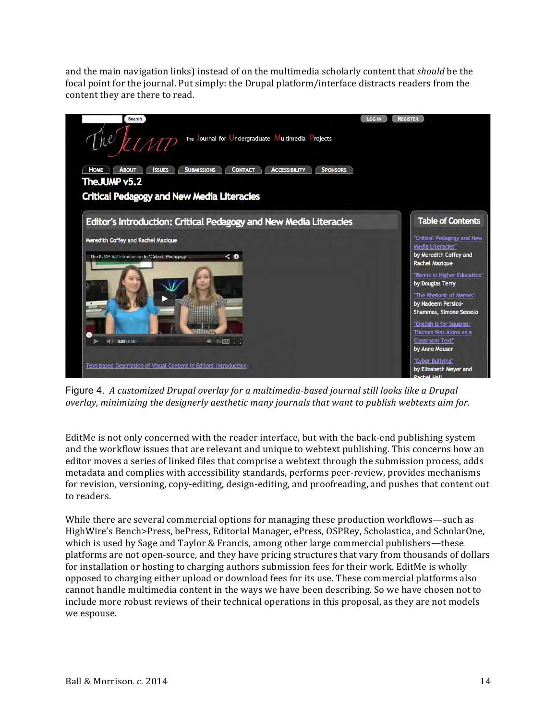and the main navigation links) instead of on the multimedia scholarly content that *should* be the focal point for the journal. Put simply: the Drupal platform/interface distracts readers from the content they are there to read.



Figure 4. A customized Drupal overlay for a multimedia-based journal still looks like a Drupal *overlay, minimizing the designerly aesthetic many journals that want to publish webtexts aim for.* 

EditMe is not only concerned with the reader interface, but with the back-end publishing system and the workflow issues that are relevant and unique to webtext publishing. This concerns how an editor moves a series of linked files that comprise a webtext through the submission process, adds metadata and complies with accessibility standards, performs peer-review, provides mechanisms for revision, versioning, copy-editing, design-editing, and proofreading, and pushes that content out to readers.

While there are several commercial options for managing these production workflows—such as HighWire's Bench>Press, bePress, Editorial Manager, ePress, OSPRey, Scholastica, and ScholarOne, which is used by Sage and Taylor & Francis, among other large commercial publishers—these platforms are not open-source, and they have pricing structures that vary from thousands of dollars for installation or hosting to charging authors submission fees for their work. EditMe is wholly opposed to charging either upload or download fees for its use. These commercial platforms also cannot handle multimedia content in the ways we have been describing. So we have chosen not to include more robust reviews of their technical operations in this proposal, as they are not models we espouse.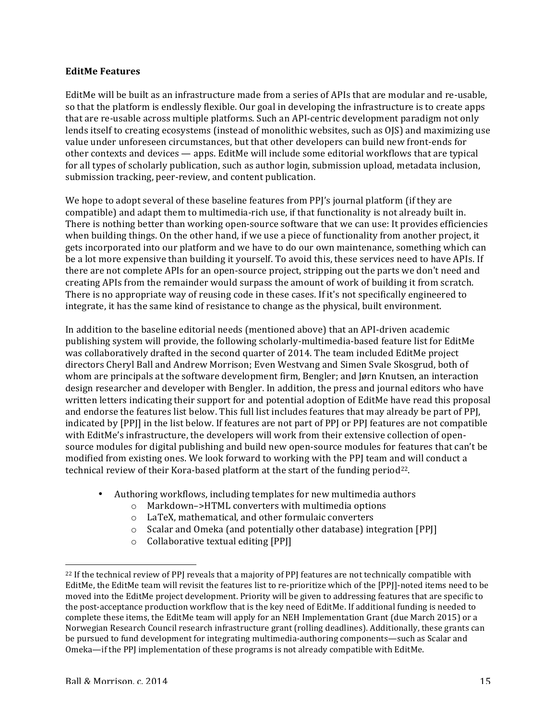#### **EditMe Features**

EditMe will be built as an infrastructure made from a series of APIs that are modular and re-usable, so that the platform is endlessly flexible. Our goal in developing the infrastructure is to create apps that are re-usable across multiple platforms. Such an API-centric development paradigm not only lends itself to creating ecosystems (instead of monolithic websites, such as OJS) and maximizing use value under unforeseen circumstances, but that other developers can build new front-ends for other contexts and devices — apps. EditMe will include some editorial workflows that are typical for all types of scholarly publication, such as author login, submission upload, metadata inclusion, submission tracking, peer-review, and content publication.

We hope to adopt several of these baseline features from PPJ's journal platform (if they are compatible) and adapt them to multimedia-rich use, if that functionality is not already built in. There is nothing better than working open-source software that we can use: It provides efficiencies when building things. On the other hand, if we use a piece of functionality from another project, it gets incorporated into our platform and we have to do our own maintenance, something which can be a lot more expensive than building it yourself. To avoid this, these services need to have APIs. If there are not complete APIs for an open-source project, stripping out the parts we don't need and creating APIs from the remainder would surpass the amount of work of building it from scratch. There is no appropriate way of reusing code in these cases. If it's not specifically engineered to integrate, it has the same kind of resistance to change as the physical, built environment.

In addition to the baseline editorial needs (mentioned above) that an API-driven academic publishing system will provide, the following scholarly-multimedia-based feature list for EditMe was collaboratively drafted in the second quarter of 2014. The team included EditMe project directors Cheryl Ball and Andrew Morrison; Even Westvang and Simen Svale Skosgrud, both of whom are principals at the software development firm, Bengler; and Jørn Knutsen, an interaction design researcher and developer with Bengler. In addition, the press and journal editors who have written letters indicating their support for and potential adoption of EditMe have read this proposal and endorse the features list below. This full list includes features that may already be part of PPI, indicated by [PP]] in the list below. If features are not part of PPJ or PPJ features are not compatible with EditMe's infrastructure, the developers will work from their extensive collection of opensource modules for digital publishing and build new open-source modules for features that can't be modified from existing ones. We look forward to working with the PPJ team and will conduct a technical review of their Kora-based platform at the start of the funding period<sup>22</sup>.

- Authoring workflows, including templates for new multimedia authors
	- $\circ$  Markdown->HTML converters with multimedia options
	- o LaTeX, mathematical, and other formulaic converters
	- o Scalar and Omeka (and potentially other database) integration [PPJ]
	- $\circ$  Collaborative textual editing [PP]]

<sup>&</sup>lt;sup>22</sup> If the technical review of PPJ reveals that a majority of PPJ features are not technically compatible with EditMe, the EditMe team will revisit the features list to re-prioritize which of the [PPI]-noted items need to be moved into the EditMe project development. Priority will be given to addressing features that are specific to the post-acceptance production workflow that is the key need of EditMe. If additional funding is needed to complete these items, the EditMe team will apply for an NEH Implementation Grant (due March 2015) or a Norwegian Research Council research infrastructure grant (rolling deadlines). Additionally, these grants can be pursued to fund development for integrating multimedia-authoring components—such as Scalar and Omeka—if the PPJ implementation of these programs is not already compatible with EditMe.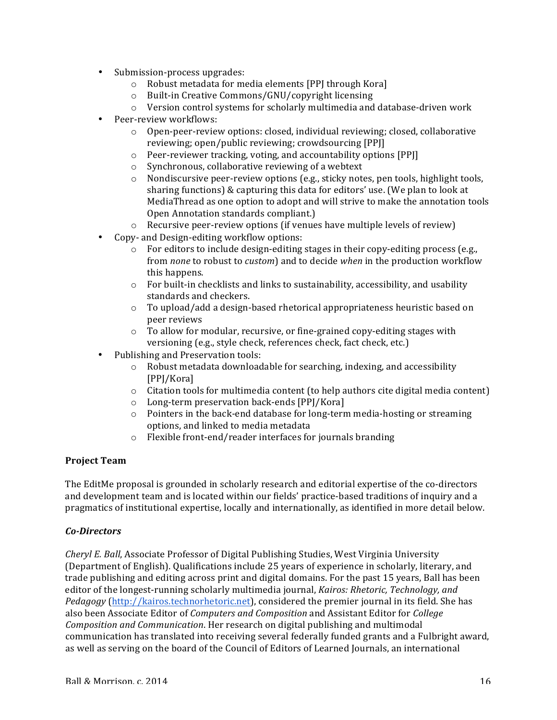- Submission-process upgrades:
	- $\circ$  Robust metadata for media elements [PP] through Kora]
	- o Built-in Creative Commons/GNU/copyright licensing
	- $\circ$  Version control systems for scholarly multimedia and database-driven work
- Peer-review workflows:
	- $\circ$  Open-peer-review options: closed, individual reviewing; closed, collaborative reviewing; open/public reviewing; crowdsourcing [PP]]
	- $\circ$  Peer-reviewer tracking, voting, and accountability options [PP]]
	- $\circ$  Synchronous, collaborative reviewing of a webtext
	- o Nondiscursive peer-review options (e.g., sticky notes, pen tools, highlight tools, sharing functions) & capturing this data for editors' use. (We plan to look at MediaThread as one option to adopt and will strive to make the annotation tools Open Annotation standards compliant.)
	- $\circ$  Recursive peer-review options (if venues have multiple levels of review)
- Copy- and Design-editing workflow options:
	- $\circ$  For editors to include design-editing stages in their copy-editing process (e.g., from *none* to robust to *custom*) and to decide when in the production workflow this happens.
	- $\circ$  For built-in checklists and links to sustainability, accessibility, and usability standards and checkers.
	- $\circ$  To upload/add a design-based rhetorical appropriateness heuristic based on peer reviews
	- $\circ$  To allow for modular, recursive, or fine-grained copy-editing stages with versioning (e.g., style check, references check, fact check, etc.)
- Publishing and Preservation tools:
	- o Robust metadata downloadable for searching, indexing, and accessibility [PPJ/Kora]
	- $\circ$  Citation tools for multimedia content (to help authors cite digital media content)
	- $\circ$  Long-term preservation back-ends [PP]/Kora]
	- $\circ$  Pointers in the back-end database for long-term media-hosting or streaming options, and linked to media metadata
	- $\circ$  Flexible front-end/reader interfaces for journals branding

## **Project Team**

The EditMe proposal is grounded in scholarly research and editorial expertise of the co-directors and development team and is located within our fields' practice-based traditions of inquiry and a pragmatics of institutional expertise, locally and internationally, as identified in more detail below.

#### *Co-Directors*

*Cheryl E. Ball*, Associate Professor of Digital Publishing Studies, West Virginia University (Department of English). Qualifications include 25 years of experience in scholarly, literary, and trade publishing and editing across print and digital domains. For the past 15 years, Ball has been editor of the longest-running scholarly multimedia journal, *Kairos: Rhetoric, Technology, and Pedagogy* (http://kairos.technorhetoric.net), considered the premier journal in its field. She has also been Associate Editor of *Computers and Composition* and Assistant Editor for *College Composition and Communication*. Her research on digital publishing and multimodal communication has translated into receiving several federally funded grants and a Fulbright award, as well as serving on the board of the Council of Editors of Learned Journals, an international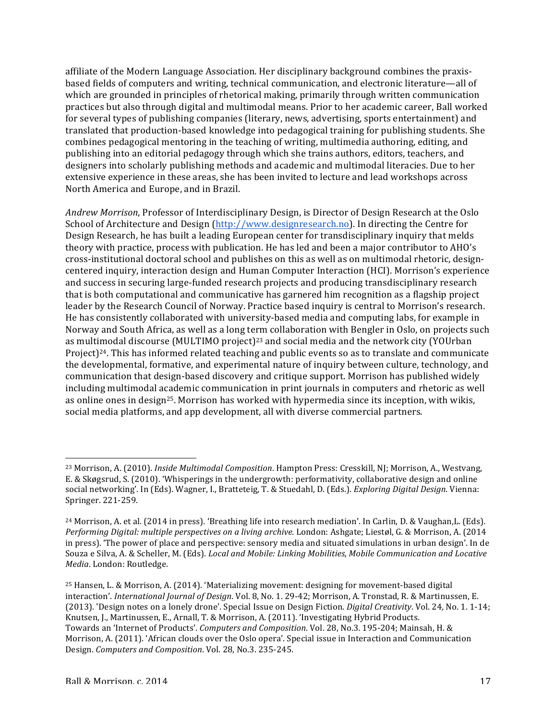affiliate of the Modern Language Association. Her disciplinary background combines the praxisbased fields of computers and writing, technical communication, and electronic literature—all of which are grounded in principles of rhetorical making, primarily through written communication practices but also through digital and multimodal means. Prior to her academic career, Ball worked for several types of publishing companies (literary, news, advertising, sports entertainment) and translated that production-based knowledge into pedagogical training for publishing students. She combines pedagogical mentoring in the teaching of writing, multimedia authoring, editing, and publishing into an editorial pedagogy through which she trains authors, editors, teachers, and designers into scholarly publishing methods and academic and multimodal literacies. Due to her extensive experience in these areas, she has been invited to lecture and lead workshops across North America and Europe, and in Brazil.

*Andrew Morrison*, Professor of Interdisciplinary Design, is Director of Design Research at the Oslo School of Architecture and Design (http://www.designresearch.no). In directing the Centre for Design Research, he has built a leading European center for transdisciplinary inquiry that melds theory with practice, process with publication. He has led and been a major contributor to AHO's cross-institutional doctoral school and publishes on this as well as on multimodal rhetoric, designcentered inquiry, interaction design and Human Computer Interaction (HCI). Morrison's experience and success in securing large-funded research projects and producing transdisciplinary research that is both computational and communicative has garnered him recognition as a flagship project leader by the Research Council of Norway. Practice based inquiry is central to Morrison's research. He has consistently collaborated with university-based media and computing labs, for example in Norway and South Africa, as well as a long term collaboration with Bengler in Oslo, on projects such as multimodal discourse (MULTIMO project)<sup>23</sup> and social media and the network city (YOUrban Project)<sup>24</sup>. This has informed related teaching and public events so as to translate and communicate the developmental, formative, and experimental nature of inquiry between culture, technology, and communication that design-based discovery and critique support. Morrison has published widely including multimodal academic communication in print journals in computers and rhetoric as well as online ones in design<sup>25</sup>. Morrison has worked with hypermedia since its inception, with wikis, social media platforms, and app development, all with diverse commercial partners.

<sup>&</sup>lt;sup>23</sup> Morrison, A. (2010). *Inside Multimodal Composition*. Hampton Press: Cresskill, NJ; Morrison, A., Westvang, E. & Skøgsrud, S. (2010). 'Whisperings in the undergrowth: performativity, collaborative design and online social networking'. In (Eds). Wagner, I., Bratteteig, T. & Stuedahl, D. (Eds.). *Exploring Digital Design*. Vienna: Springer. 221-259.

 $^{24}$  Morrison, A. et al. (2014 in press). 'Breathing life into research mediation'. In Carlin, D. & Vaughan,L. (Eds). *Performing Digital: multiple perspectives on a living archive.* London: Ashgate; Liestøl, G. & Morrison, A. (2014 in press). 'The power of place and perspective: sensory media and situated simulations in urban design'. In de Souza e Silva, A. & Scheller, M. (Eds). *Local and Mobile: Linking Mobilities, Mobile Communication and Locative Media*. London: Routledge.

<sup>&</sup>lt;sup>25</sup> Hansen, L. & Morrison, A. (2014). 'Materializing movement: designing for movement-based digital interaction'. *International Journal of Design*. Vol. 8, No. 1. 29-42; Morrison, A. Tronstad, R. & Martinussen, E. (2013). 'Design notes on a lonely drone'. Special Issue on Design Fiction. *Digital Creativity*. Vol. 24, No. 1. 1-14; Knutsen, J., Martinussen, E., Arnall, T. & Morrison, A. (2011). 'Investigating Hybrid Products. Towards an 'Internet of Products'. *Computers and Composition*. Vol. 28, No.3. 195-204; Mainsah, H. & Morrison, A. (2011). 'African clouds over the Oslo opera'. Special issue in Interaction and Communication Design. *Computers and Composition*. Vol. 28, No.3. 235-245.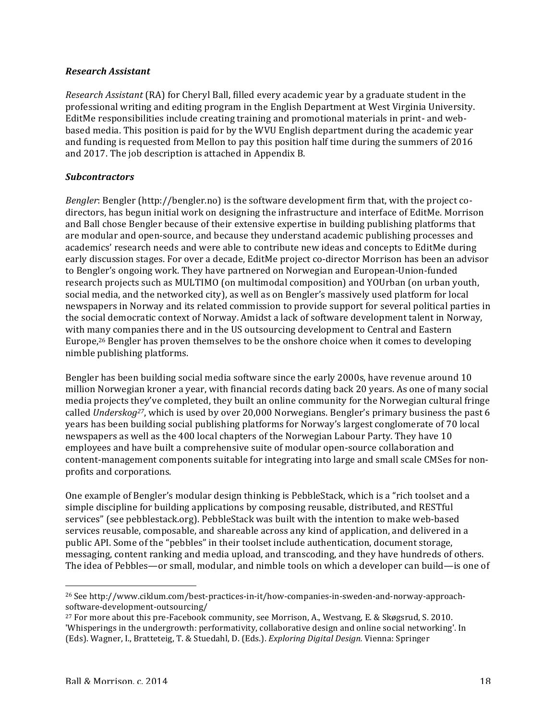#### *Research Assistant*

*Research Assistant* (RA) for Cheryl Ball, filled every academic year by a graduate student in the professional writing and editing program in the English Department at West Virginia University. EditMe responsibilities include creating training and promotional materials in print- and webbased media. This position is paid for by the WVU English department during the academic year and funding is requested from Mellon to pay this position half time during the summers of 2016 and 2017. The job description is attached in Appendix B.

#### *Subcontractors*

*Bengler*: Bengler (http://bengler.no) is the software development firm that, with the project codirectors, has begun initial work on designing the infrastructure and interface of EditMe. Morrison and Ball chose Bengler because of their extensive expertise in building publishing platforms that are modular and open-source, and because they understand academic publishing processes and academics' research needs and were able to contribute new ideas and concepts to EditMe during early discussion stages. For over a decade, EditMe project co-director Morrison has been an advisor to Bengler's ongoing work. They have partnered on Norwegian and European-Union-funded research projects such as MULTIMO (on multimodal composition) and YOUrban (on urban youth, social media, and the networked city), as well as on Bengler's massively used platform for local newspapers in Norway and its related commission to provide support for several political parties in the social democratic context of Norway. Amidst a lack of software development talent in Norway, with many companies there and in the US outsourcing development to Central and Eastern Europe,<sup>26</sup> Bengler has proven themselves to be the onshore choice when it comes to developing nimble publishing platforms.

Bengler has been building social media software since the early 2000s, have revenue around 10 million Norwegian kroner a year, with financial records dating back 20 years. As one of many social media projects they've completed, they built an online community for the Norwegian cultural fringe called *Underskog<sup>27</sup>*, which is used by over 20,000 Norwegians. Bengler's primary business the past 6 years has been building social publishing platforms for Norway's largest conglomerate of 70 local newspapers as well as the 400 local chapters of the Norwegian Labour Party. They have 10 employees and have built a comprehensive suite of modular open-source collaboration and content-management components suitable for integrating into large and small scale CMSes for nonprofits and corporations.

One example of Bengler's modular design thinking is PebbleStack, which is a "rich toolset and a simple discipline for building applications by composing reusable, distributed, and RESTful services" (see pebblestack.org). PebbleStack was built with the intention to make web-based services reusable, composable, and shareable across any kind of application, and delivered in a public API. Some of the "pebbles" in their toolset include authentication, document storage, messaging, content ranking and media upload, and transcoding, and they have hundreds of others. The idea of Pebbles—or small, modular, and nimble tools on which a developer can build—is one of

<sup>26</sup> See http://www.ciklum.com/best-practices-in-it/how-companies-in-sweden-and-norway-approachsoftware-development-outsourcing/

 $27$  For more about this pre-Facebook community, see Morrison, A., Westvang, E. & Skøgsrud, S. 2010. 'Whisperings in the undergrowth: performativity, collaborative design and online social networking'. In (Eds). Wagner, I., Bratteteig, T. & Stuedahl, D. (Eds.). *Exploring Digital Design.* Vienna: Springer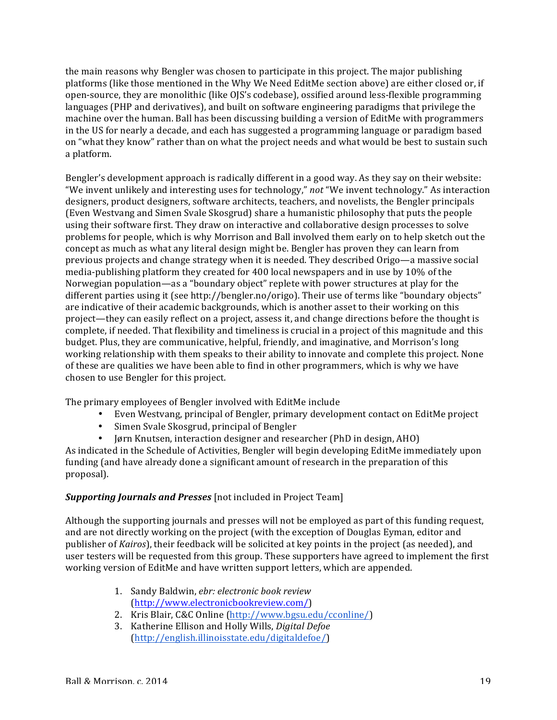the main reasons why Bengler was chosen to participate in this project. The major publishing platforms (like those mentioned in the Why We Need EditMe section above) are either closed or, if open-source, they are monolithic (like OJS's codebase), ossified around less-flexible programming languages (PHP and derivatives), and built on software engineering paradigms that privilege the machine over the human. Ball has been discussing building a version of EditMe with programmers in the US for nearly a decade, and each has suggested a programming language or paradigm based on "what they know" rather than on what the project needs and what would be best to sustain such a platform. 

Bengler's development approach is radically different in a good way. As they say on their website: "We invent unlikely and interesting uses for technology," not "We invent technology." As interaction designers, product designers, software architects, teachers, and novelists, the Bengler principals (Even Westvang and Simen Svale Skosgrud) share a humanistic philosophy that puts the people using their software first. They draw on interactive and collaborative design processes to solve problems for people, which is why Morrison and Ball involved them early on to help sketch out the concept as much as what any literal design might be. Bengler has proven they can learn from previous projects and change strategy when it is needed. They described Origo—a massive social media-publishing platform they created for 400 local newspapers and in use by  $10\%$  of the Norwegian population—as a "boundary object" replete with power structures at play for the different parties using it (see http://bengler.no/origo). Their use of terms like "boundary objects" are indicative of their academic backgrounds, which is another asset to their working on this project—they can easily reflect on a project, assess it, and change directions before the thought is complete, if needed. That flexibility and timeliness is crucial in a project of this magnitude and this budget. Plus, they are communicative, helpful, friendly, and imaginative, and Morrison's long working relationship with them speaks to their ability to innovate and complete this project. None of these are qualities we have been able to find in other programmers, which is why we have chosen to use Bengler for this project.

The primary employees of Bengler involved with EditMe include

- Even Westvang, principal of Bengler, primary development contact on EditMe project
- Simen Svale Skosgrud, principal of Bengler
- Jørn Knutsen, interaction designer and researcher (PhD in design, AHO)

As indicated in the Schedule of Activities, Bengler will begin developing EditMe immediately upon funding (and have already done a significant amount of research in the preparation of this proposal). 

## **Supporting Journals and Presses** [not included in Project Team]

Although the supporting journals and presses will not be employed as part of this funding request, and are not directly working on the project (with the exception of Douglas Eyman, editor and publisher of *Kairos*), their feedback will be solicited at key points in the project (as needed), and user testers will be requested from this group. These supporters have agreed to implement the first working version of EditMe and have written support letters, which are appended.

- 1. Sandy Baldwin, *ebr: electronic book review* (http://www.electronicbookreview.com/)
- 2. Kris Blair, C&C Online (http://www.bgsu.edu/cconline/)
- 3. Katherine Ellison and Holly Wills, *Digital Defoe* (http://english.illinoisstate.edu/digitaldefoe/)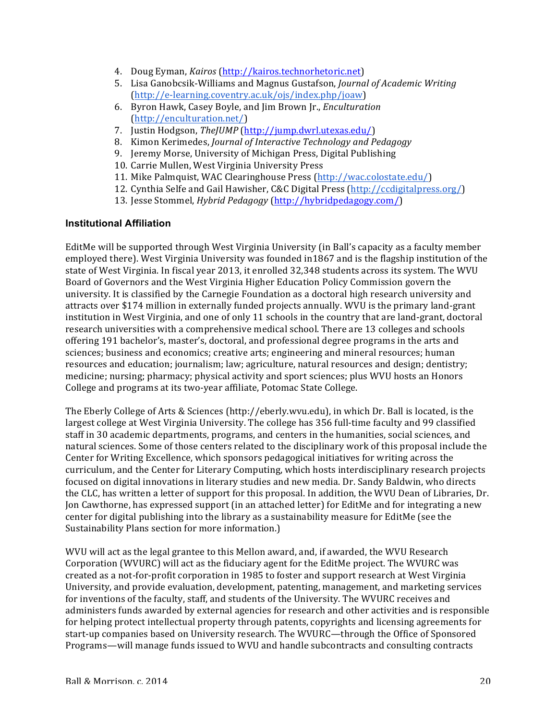- 4. Doug Eyman, *Kairos* (http://kairos.technorhetoric.net)
- 5. Lisa Ganobcsik-Williams and Magnus Gustafson, *Journal of Academic Writing* (http://e-learning.coventry.ac.uk/ojs/index.php/joaw)
- 6. Byron Hawk, Casey Boyle, and Jim Brown Jr., *Enculturation* (http://enculturation.net/)
- 7. Justin Hodgson, TheJUMP (http://jump.dwrl.utexas.edu/)
- 8. Kimon Kerimedes, *Journal of Interactive Technology and Pedagogy*
- 9. Jeremy Morse, University of Michigan Press, Digital Publishing
- 10. Carrie Mullen, West Virginia University Press
- 11. Mike Palmquist, WAC Clearinghouse Press (http://wac.colostate.edu/)
- 12. Cynthia Selfe and Gail Hawisher, C&C Digital Press (http://ccdigitalpress.org/)
- 13. Jesse Stommel, *Hybrid Pedagogy* (http://hybridpedagogy.com/)

#### **Institutional Affiliation**

EditMe will be supported through West Virginia University (in Ball's capacity as a faculty member employed there). West Virginia University was founded in 1867 and is the flagship institution of the state of West Virginia. In fiscal year 2013, it enrolled 32,348 students across its system. The WVU Board of Governors and the West Virginia Higher Education Policy Commission govern the university. It is classified by the Carnegie Foundation as a doctoral high research university and attracts over \$174 million in externally funded projects annually. WVU is the primary land-grant institution in West Virginia, and one of only 11 schools in the country that are land-grant, doctoral research universities with a comprehensive medical school. There are 13 colleges and schools offering 191 bachelor's, master's, doctoral, and professional degree programs in the arts and sciences; business and economics; creative arts; engineering and mineral resources; human resources and education; journalism; law; agriculture, natural resources and design; dentistry; medicine; nursing; pharmacy; physical activity and sport sciences; plus WVU hosts an Honors College and programs at its two-year affiliate, Potomac State College.

The Eberly College of Arts & Sciences (http://eberly.wvu.edu), in which Dr. Ball is located, is the largest college at West Virginia University. The college has 356 full-time faculty and 99 classified staff in 30 academic departments, programs, and centers in the humanities, social sciences, and natural sciences. Some of those centers related to the disciplinary work of this proposal include the Center for Writing Excellence, which sponsors pedagogical initiatives for writing across the curriculum, and the Center for Literary Computing, which hosts interdisciplinary research projects focused on digital innovations in literary studies and new media. Dr. Sandy Baldwin, who directs the CLC, has written a letter of support for this proposal. In addition, the WVU Dean of Libraries, Dr. Jon Cawthorne, has expressed support (in an attached letter) for EditMe and for integrating a new center for digital publishing into the library as a sustainability measure for EditMe (see the Sustainability Plans section for more information.)

WVU will act as the legal grantee to this Mellon award, and, if awarded, the WVU Research Corporation (WVURC) will act as the fiduciary agent for the EditMe project. The WVURC was created as a not-for-profit corporation in 1985 to foster and support research at West Virginia University, and provide evaluation, development, patenting, management, and marketing services for inventions of the faculty, staff, and students of the University. The WVURC receives and administers funds awarded by external agencies for research and other activities and is responsible for helping protect intellectual property through patents, copyrights and licensing agreements for start-up companies based on University research. The WVURC—through the Office of Sponsored Programs—will manage funds issued to WVU and handle subcontracts and consulting contracts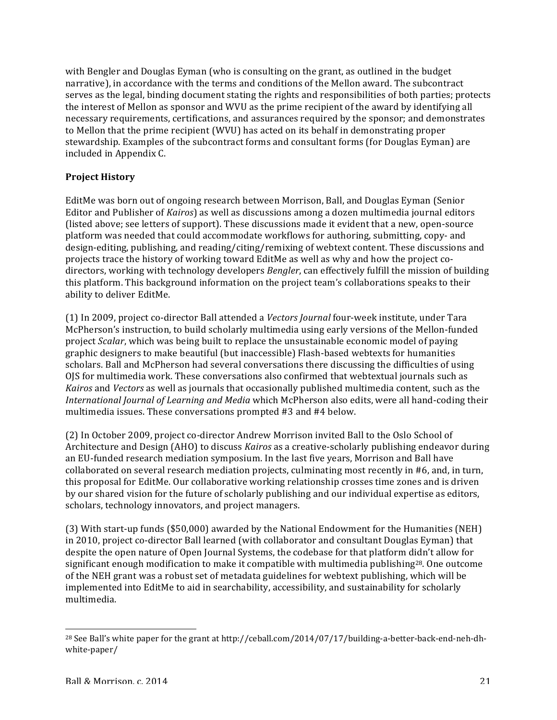with Bengler and Douglas Eyman (who is consulting on the grant, as outlined in the budget narrative), in accordance with the terms and conditions of the Mellon award. The subcontract serves as the legal, binding document stating the rights and responsibilities of both parties; protects the interest of Mellon as sponsor and WVU as the prime recipient of the award by identifying all necessary requirements, certifications, and assurances required by the sponsor; and demonstrates to Mellon that the prime recipient (WVU) has acted on its behalf in demonstrating proper stewardship. Examples of the subcontract forms and consultant forms (for Douglas Eyman) are included in Appendix C.

## **Project History**

EditMe was born out of ongoing research between Morrison, Ball, and Douglas Eyman (Senior Editor and Publisher of *Kairos*) as well as discussions among a dozen multimedia journal editors (listed above; see letters of support). These discussions made it evident that a new, open-source platform was needed that could accommodate workflows for authoring, submitting, copy- and design-editing, publishing, and reading/citing/remixing of webtext content. These discussions and projects trace the history of working toward EditMe as well as why and how the project codirectors, working with technology developers *Bengler*, can effectively fulfill the mission of building this platform. This background information on the project team's collaborations speaks to their ability to deliver EditMe.

(1) In 2009, project co-director Ball attended a *Vectors Journal* four-week institute, under Tara McPherson's instruction, to build scholarly multimedia using early versions of the Mellon-funded project *Scalar*, which was being built to replace the unsustainable economic model of paying graphic designers to make beautiful (but inaccessible) Flash-based webtexts for humanities scholars. Ball and McPherson had several conversations there discussing the difficulties of using OIS for multimedia work. These conversations also confirmed that webtextual journals such as *Kairos* and *Vectors* as well as journals that occasionally published multimedia content, such as the *International Journal of Learning and Media* which McPherson also edits, were all hand-coding their multimedia issues. These conversations prompted #3 and #4 below.

(2) In October 2009, project co-director Andrew Morrison invited Ball to the Oslo School of Architecture and Design (AHO) to discuss *Kairos* as a creative-scholarly publishing endeavor during an EU-funded research mediation symposium. In the last five years, Morrison and Ball have collaborated on several research mediation projects, culminating most recently in #6, and, in turn, this proposal for EditMe. Our collaborative working relationship crosses time zones and is driven by our shared vision for the future of scholarly publishing and our individual expertise as editors, scholars, technology innovators, and project managers.

(3) With start-up funds (\$50,000) awarded by the National Endowment for the Humanities (NEH) in 2010, project co-director Ball learned (with collaborator and consultant Douglas Eyman) that despite the open nature of Open Journal Systems, the codebase for that platform didn't allow for significant enough modification to make it compatible with multimedia publishing<sup>28</sup>. One outcome of the NEH grant was a robust set of metadata guidelines for webtext publishing, which will be implemented into EditMe to aid in searchability, accessibility, and sustainability for scholarly multimedia. 

 <sup>28</sup> See Ball's white paper for the grant at http://ceball.com/2014/07/17/building-a-better-back-end-neh-dhwhite-paper/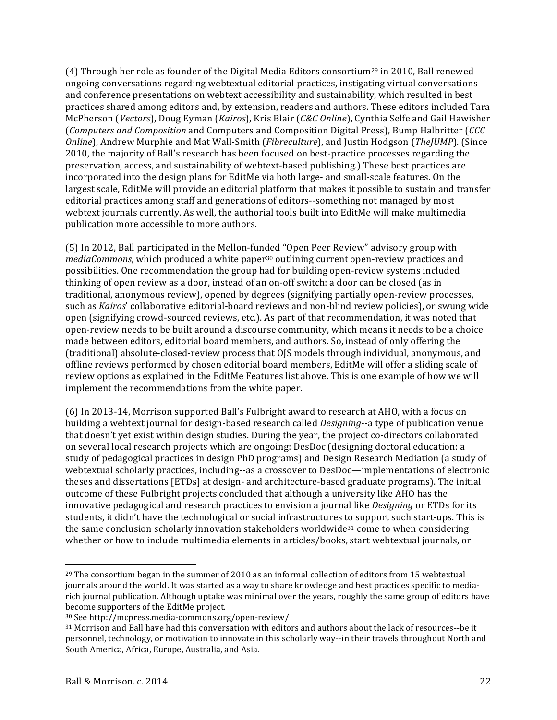(4) Through her role as founder of the Digital Media Editors consortium<sup>29</sup> in 2010, Ball renewed ongoing conversations regarding webtextual editorial practices, instigating virtual conversations and conference presentations on webtext accessibility and sustainability, which resulted in best practices shared among editors and, by extension, readers and authors. These editors included Tara McPherson (*Vectors*), Doug Eyman (*Kairos*), Kris Blair (*C&C Online*), Cynthia Selfe and Gail Hawisher (*Computers and Composition* and Computers and Composition Digital Press), Bump Halbritter (*CCC Online*), Andrew Murphie and Mat Wall-Smith (*Fibreculture*), and Justin Hodgson (*TheJUMP*). (Since 2010, the majority of Ball's research has been focused on best-practice processes regarding the preservation, access, and sustainability of webtext-based publishing.) These best practices are incorporated into the design plans for EditMe via both large- and small-scale features. On the largest scale, EditMe will provide an editorial platform that makes it possible to sustain and transfer editorial practices among staff and generations of editors--something not managed by most webtext journals currently. As well, the authorial tools built into EditMe will make multimedia publication more accessible to more authors.

(5) In 2012, Ball participated in the Mellon-funded "Open Peer Review" advisory group with *mediaCommons*, which produced a white paper<sup>30</sup> outlining current open-review practices and possibilities. One recommendation the group had for building open-review systems included thinking of open review as a door, instead of an on-off switch: a door can be closed (as in traditional, anonymous review), opened by degrees (signifying partially open-review processes, such as *Kairos'* collaborative editorial-board reviews and non-blind review policies), or swung wide open (signifying crowd-sourced reviews, etc.). As part of that recommendation, it was noted that open-review needs to be built around a discourse community, which means it needs to be a choice made between editors, editorial board members, and authors. So, instead of only offering the (traditional) absolute-closed-review process that OJS models through individual, anonymous, and offline reviews performed by chosen editorial board members, EditMe will offer a sliding scale of review options as explained in the EditMe Features list above. This is one example of how we will implement the recommendations from the white paper.

(6) In 2013-14, Morrison supported Ball's Fulbright award to research at AHO, with a focus on building a webtext journal for design-based research called *Designing*--a type of publication venue that doesn't yet exist within design studies. During the year, the project co-directors collaborated on several local research projects which are ongoing: DesDoc (designing doctoral education: a study of pedagogical practices in design PhD programs) and Design Research Mediation (a study of webtextual scholarly practices, including--as a crossover to DesDoc—implementations of electronic theses and dissertations [ETDs] at design- and architecture-based graduate programs). The initial outcome of these Fulbright projects concluded that although a university like AHO has the innovative pedagogical and research practices to envision a journal like *Designing* or ETDs for its students, it didn't have the technological or social infrastructures to support such start-ups. This is the same conclusion scholarly innovation stakeholders worldwide<sup>31</sup> come to when considering whether or how to include multimedia elements in articles/books, start webtextual journals, or

 $^{29}$  The consortium began in the summer of 2010 as an informal collection of editors from 15 webtextual journals around the world. It was started as a way to share knowledge and best practices specific to mediarich journal publication. Although uptake was minimal over the years, roughly the same group of editors have become supporters of the EditMe project.

<sup>30</sup> See http://mcpress.media-commons.org/open-review/

<sup>&</sup>lt;sup>31</sup> Morrison and Ball have had this conversation with editors and authors about the lack of resources--be it personnel, technology, or motivation to innovate in this scholarly way--in their travels throughout North and South America, Africa, Europe, Australia, and Asia.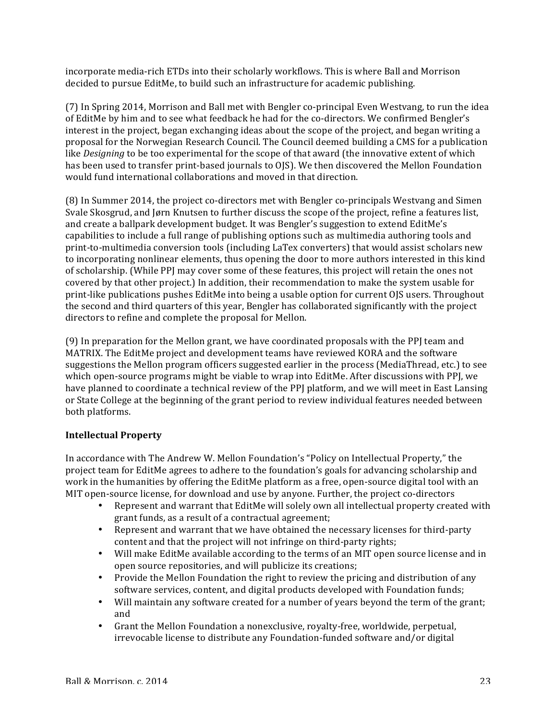incorporate media-rich ETDs into their scholarly workflows. This is where Ball and Morrison decided to pursue EditMe, to build such an infrastructure for academic publishing.

(7) In Spring 2014, Morrison and Ball met with Bengler co-principal Even Westvang, to run the idea of EditMe by him and to see what feedback he had for the co-directors. We confirmed Bengler's interest in the project, began exchanging ideas about the scope of the project, and began writing a proposal for the Norwegian Research Council. The Council deemed building a CMS for a publication like *Designing* to be too experimental for the scope of that award (the innovative extent of which has been used to transfer print-based journals to OJS). We then discovered the Mellon Foundation would fund international collaborations and moved in that direction.

(8) In Summer 2014, the project co-directors met with Bengler co-principals Westvang and Simen Svale Skosgrud, and *Jørn Knutsen to further discuss the scope of the project*, refine a features list, and create a ballpark development budget. It was Bengler's suggestion to extend EditMe's capabilities to include a full range of publishing options such as multimedia authoring tools and print-to-multimedia conversion tools (including LaTex converters) that would assist scholars new to incorporating nonlinear elements, thus opening the door to more authors interested in this kind of scholarship. (While PPJ may cover some of these features, this project will retain the ones not covered by that other project.) In addition, their recommendation to make the system usable for print-like publications pushes EditMe into being a usable option for current OJS users. Throughout the second and third quarters of this year, Bengler has collaborated significantly with the project directors to refine and complete the proposal for Mellon.

(9) In preparation for the Mellon grant, we have coordinated proposals with the PPI team and MATRIX. The EditMe project and development teams have reviewed KORA and the software suggestions the Mellon program officers suggested earlier in the process (MediaThread, etc.) to see which open-source programs might be viable to wrap into EditMe. After discussions with PPI, we have planned to coordinate a technical review of the PPJ platform, and we will meet in East Lansing or State College at the beginning of the grant period to review individual features needed between both platforms.

## **Intellectual Property**

In accordance with The Andrew W. Mellon Foundation's "Policy on Intellectual Property," the project team for EditMe agrees to adhere to the foundation's goals for advancing scholarship and work in the humanities by offering the EditMe platform as a free, open-source digital tool with an MIT open-source license, for download and use by anyone. Further, the project co-directors

- Represent and warrant that EditMe will solely own all intellectual property created with grant funds, as a result of a contractual agreement;
- Represent and warrant that we have obtained the necessary licenses for third-party content and that the project will not infringe on third-party rights;
- Will make EditMe available according to the terms of an MIT open source license and in open source repositories, and will publicize its creations;
- Provide the Mellon Foundation the right to review the pricing and distribution of any software services, content, and digital products developed with Foundation funds;
- Will maintain any software created for a number of years beyond the term of the grant; and
- Grant the Mellon Foundation a nonexclusive, royalty-free, worldwide, perpetual, irrevocable license to distribute any Foundation-funded software and/or digital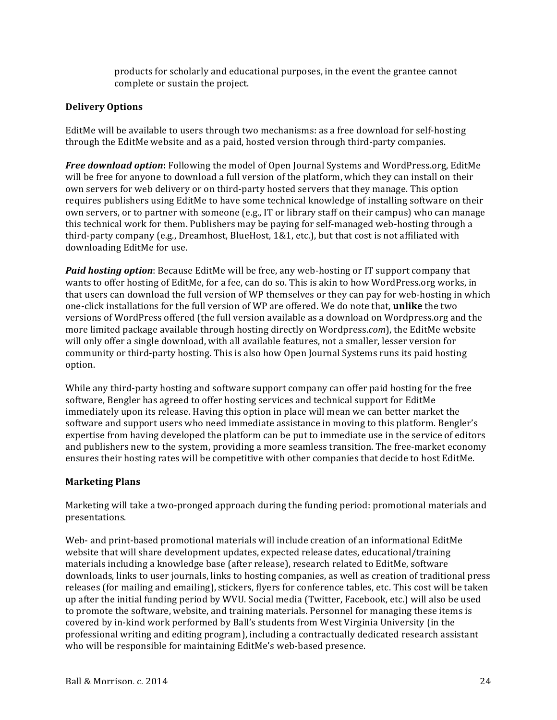products for scholarly and educational purposes, in the event the grantee cannot complete or sustain the project.

#### **Delivery Options**

EditMe will be available to users through two mechanisms: as a free download for self-hosting through the EditMe website and as a paid, hosted version through third-party companies.

*Free download option*: Following the model of Open Journal Systems and WordPress.org, EditMe will be free for anyone to download a full version of the platform, which they can install on their own servers for web delivery or on third-party hosted servers that they manage. This option requires publishers using EditMe to have some technical knowledge of installing software on their own servers, or to partner with someone (e.g., IT or library staff on their campus) who can manage this technical work for them. Publishers may be paying for self-managed web-hosting through a third-party company (e.g., Dreamhost, BlueHost, 1&1, etc.), but that cost is not affiliated with downloading EditMe for use.

**Paid hosting option**: Because EditMe will be free, any web-hosting or IT support company that wants to offer hosting of EditMe, for a fee, can do so. This is akin to how WordPress.org works, in that users can download the full version of WP themselves or they can pay for web-hosting in which one-click installations for the full version of WP are offered. We do note that, **unlike** the two versions of WordPress offered (the full version available as a download on Wordpress.org and the more limited package available through hosting directly on Wordpress.*com*), the EditMe website will only offer a single download, with all available features, not a smaller, lesser version for community or third-party hosting. This is also how Open Journal Systems runs its paid hosting option. 

While any third-party hosting and software support company can offer paid hosting for the free software, Bengler has agreed to offer hosting services and technical support for EditMe immediately upon its release. Having this option in place will mean we can better market the software and support users who need immediate assistance in moving to this platform. Bengler's expertise from having developed the platform can be put to immediate use in the service of editors and publishers new to the system, providing a more seamless transition. The free-market economy ensures their hosting rates will be competitive with other companies that decide to host EditMe.

## **Marketing Plans**

Marketing will take a two-pronged approach during the funding period: promotional materials and presentations. 

Web- and print-based promotional materials will include creation of an informational EditMe website that will share development updates, expected release dates, educational/training materials including a knowledge base (after release), research related to EditMe, software downloads, links to user journals, links to hosting companies, as well as creation of traditional press releases (for mailing and emailing), stickers, flyers for conference tables, etc. This cost will be taken up after the initial funding period by WVU. Social media (Twitter, Facebook, etc.) will also be used to promote the software, website, and training materials. Personnel for managing these items is covered by in-kind work performed by Ball's students from West Virginia University (in the professional writing and editing program), including a contractually dedicated research assistant who will be responsible for maintaining EditMe's web-based presence.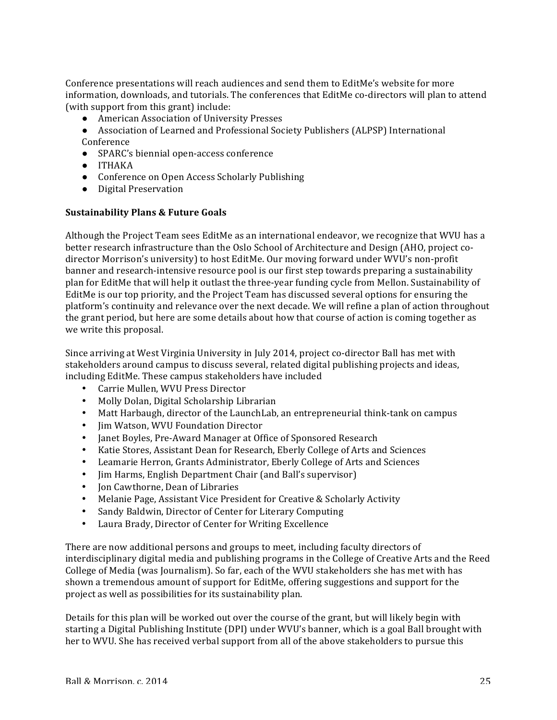Conference presentations will reach audiences and send them to EditMe's website for more information, downloads, and tutorials. The conferences that EditMe co-directors will plan to attend (with support from this grant) include:

- American Association of University Presses
- Association of Learned and Professional Society Publishers (ALPSP) International Conference
- SPARC's biennial open-access conference
- ITHAKA
- Conference on Open Access Scholarly Publishing
- Digital Preservation

#### **Sustainability Plans & Future Goals**

Although the Project Team sees EditMe as an international endeavor, we recognize that WVU has a better research infrastructure than the Oslo School of Architecture and Design (AHO, project codirector Morrison's university) to host EditMe. Our moving forward under WVU's non-profit banner and research-intensive resource pool is our first step towards preparing a sustainability plan for EditMe that will help it outlast the three-year funding cycle from Mellon. Sustainability of EditMe is our top priority, and the Project Team has discussed several options for ensuring the platform's continuity and relevance over the next decade. We will refine a plan of action throughout the grant period, but here are some details about how that course of action is coming together as we write this proposal.

Since arriving at West Virginia University in July 2014, project co-director Ball has met with stakeholders around campus to discuss several, related digital publishing projects and ideas, including EditMe. These campus stakeholders have included

- Carrie Mullen, WVU Press Director
- Molly Dolan, Digital Scholarship Librarian
- Matt Harbaugh, director of the LaunchLab, an entrepreneurial think-tank on campus
- Jim Watson, WVU Foundation Director
- Janet Boyles, Pre-Award Manager at Office of Sponsored Research
- Katie Stores, Assistant Dean for Research, Eberly College of Arts and Sciences
- Leamarie Herron, Grants Administrator, Eberly College of Arts and Sciences
- Jim Harms, English Department Chair (and Ball's supervisor)
- Ion Cawthorne, Dean of Libraries
- Melanie Page, Assistant Vice President for Creative & Scholarly Activity
- Sandy Baldwin, Director of Center for Literary Computing
- Laura Brady, Director of Center for Writing Excellence

There are now additional persons and groups to meet, including faculty directors of interdisciplinary digital media and publishing programs in the College of Creative Arts and the Reed College of Media (was Journalism). So far, each of the WVU stakeholders she has met with has shown a tremendous amount of support for EditMe, offering suggestions and support for the project as well as possibilities for its sustainability plan.

Details for this plan will be worked out over the course of the grant, but will likely begin with starting a Digital Publishing Institute (DPI) under WVU's banner, which is a goal Ball brought with her to WVU. She has received verbal support from all of the above stakeholders to pursue this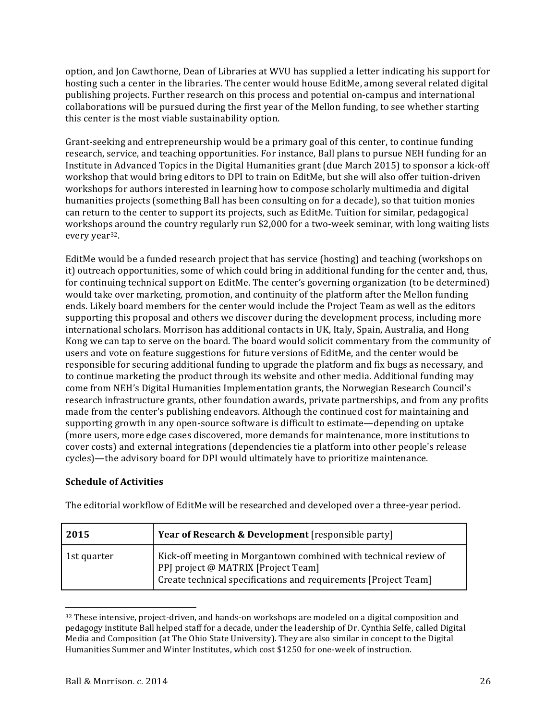option, and Jon Cawthorne, Dean of Libraries at WVU has supplied a letter indicating his support for hosting such a center in the libraries. The center would house EditMe, among several related digital publishing projects. Further research on this process and potential on-campus and international collaborations will be pursued during the first year of the Mellon funding, to see whether starting this center is the most viable sustainability option.

Grant-seeking and entrepreneurship would be a primary goal of this center, to continue funding research, service, and teaching opportunities. For instance, Ball plans to pursue NEH funding for an Institute in Advanced Topics in the Digital Humanities grant (due March 2015) to sponsor a kick-off workshop that would bring editors to DPI to train on EditMe, but she will also offer tuition-driven workshops for authors interested in learning how to compose scholarly multimedia and digital humanities projects (something Ball has been consulting on for a decade), so that tuition monies can return to the center to support its projects, such as EditMe. Tuition for similar, pedagogical workshops around the country regularly run \$2,000 for a two-week seminar, with long waiting lists every year<sup>32</sup>.

EditMe would be a funded research project that has service (hosting) and teaching (workshops on it) outreach opportunities, some of which could bring in additional funding for the center and, thus, for continuing technical support on EditMe. The center's governing organization (to be determined) would take over marketing, promotion, and continuity of the platform after the Mellon funding ends. Likely board members for the center would include the Project Team as well as the editors supporting this proposal and others we discover during the development process, including more international scholars. Morrison has additional contacts in UK, Italy, Spain, Australia, and Hong Kong we can tap to serve on the board. The board would solicit commentary from the community of users and vote on feature suggestions for future versions of EditMe, and the center would be responsible for securing additional funding to upgrade the platform and fix bugs as necessary, and to continue marketing the product through its website and other media. Additional funding may come from NEH's Digital Humanities Implementation grants, the Norwegian Research Council's research infrastructure grants, other foundation awards, private partnerships, and from any profits made from the center's publishing endeavors. Although the continued cost for maintaining and supporting growth in any open-source software is difficult to estimate—depending on uptake (more users, more edge cases discovered, more demands for maintenance, more institutions to cover costs) and external integrations (dependencies tie a platform into other people's release cycles)—the advisory board for DPI would ultimately have to prioritize maintenance.

## **Schedule of Activities**

| 2015        | <b>Year of Research &amp; Development</b> [responsible party]                                                                                                              |
|-------------|----------------------------------------------------------------------------------------------------------------------------------------------------------------------------|
| 1st quarter | Kick-off meeting in Morgantown combined with technical review of<br>PPJ project @ MATRIX [Project Team]<br>Create technical specifications and requirements [Project Team] |

The editorial workflow of EditMe will be researched and developed over a three-year period.

  $32$  These intensive, project-driven, and hands-on workshops are modeled on a digital composition and pedagogy institute Ball helped staff for a decade, under the leadership of Dr. Cynthia Selfe, called Digital Media and Composition (at The Ohio State University). They are also similar in concept to the Digital Humanities Summer and Winter Institutes, which cost \$1250 for one-week of instruction.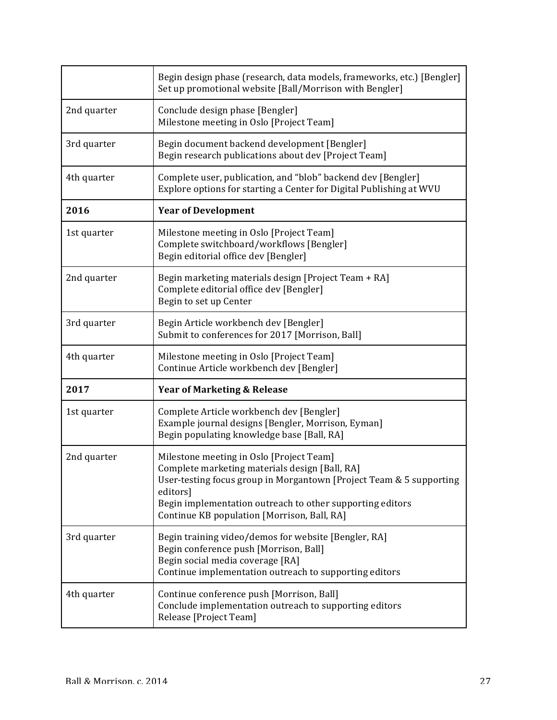|             | Begin design phase (research, data models, frameworks, etc.) [Bengler]<br>Set up promotional website [Ball/Morrison with Bengler]                                                                                                                                                         |
|-------------|-------------------------------------------------------------------------------------------------------------------------------------------------------------------------------------------------------------------------------------------------------------------------------------------|
| 2nd quarter | Conclude design phase [Bengler]<br>Milestone meeting in Oslo [Project Team]                                                                                                                                                                                                               |
| 3rd quarter | Begin document backend development [Bengler]<br>Begin research publications about dev [Project Team]                                                                                                                                                                                      |
| 4th quarter | Complete user, publication, and "blob" backend dev [Bengler]<br>Explore options for starting a Center for Digital Publishing at WVU                                                                                                                                                       |
| 2016        | <b>Year of Development</b>                                                                                                                                                                                                                                                                |
| 1st quarter | Milestone meeting in Oslo [Project Team]<br>Complete switchboard/workflows [Bengler]<br>Begin editorial office dev [Bengler]                                                                                                                                                              |
| 2nd quarter | Begin marketing materials design [Project Team + RA]<br>Complete editorial office dev [Bengler]<br>Begin to set up Center                                                                                                                                                                 |
| 3rd quarter | Begin Article workbench dev [Bengler]<br>Submit to conferences for 2017 [Morrison, Ball]                                                                                                                                                                                                  |
| 4th quarter | Milestone meeting in Oslo [Project Team]<br>Continue Article workbench dev [Bengler]                                                                                                                                                                                                      |
| 2017        | <b>Year of Marketing &amp; Release</b>                                                                                                                                                                                                                                                    |
| 1st quarter | Complete Article workbench dev [Bengler]<br>Example journal designs [Bengler, Morrison, Eyman]<br>Begin populating knowledge base [Ball, RA]                                                                                                                                              |
| 2nd quarter | Milestone meeting in Oslo [Project Team]<br>Complete marketing materials design [Ball, RA]<br>User-testing focus group in Morgantown [Project Team & 5 supporting<br>editors]<br>Begin implementation outreach to other supporting editors<br>Continue KB population [Morrison, Ball, RA] |
| 3rd quarter | Begin training video/demos for website [Bengler, RA]<br>Begin conference push [Morrison, Ball]<br>Begin social media coverage [RA]<br>Continue implementation outreach to supporting editors                                                                                              |
| 4th quarter | Continue conference push [Morrison, Ball]<br>Conclude implementation outreach to supporting editors<br>Release [Project Team]                                                                                                                                                             |